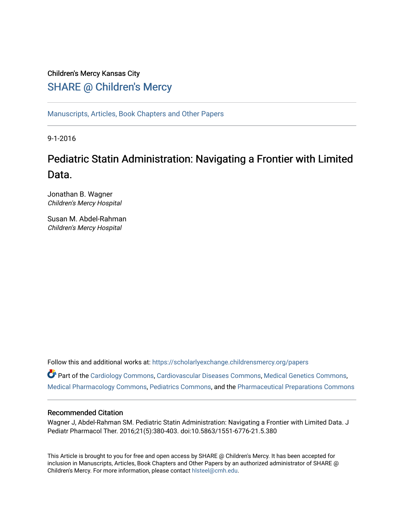# Children's Mercy Kansas City SHARE @ Children's Mercy

[Manuscripts, Articles, Book Chapters and Other Papers](https://scholarlyexchange.childrensmercy.org/papers)

9-1-2016

# Pediatric Statin Administration: Navigating a Frontier with Limited Data.

Jonathan B. Wagner Children's Mercy Hospital

Susan M. Abdel-Rahman Children's Mercy Hospital

Follow this and additional works at: [https://scholarlyexchange.childrensmercy.org/papers](https://scholarlyexchange.childrensmercy.org/papers?utm_source=scholarlyexchange.childrensmercy.org%2Fpapers%2F1297&utm_medium=PDF&utm_campaign=PDFCoverPages) 

Part of the [Cardiology Commons](http://network.bepress.com/hgg/discipline/683?utm_source=scholarlyexchange.childrensmercy.org%2Fpapers%2F1297&utm_medium=PDF&utm_campaign=PDFCoverPages), [Cardiovascular Diseases Commons,](http://network.bepress.com/hgg/discipline/929?utm_source=scholarlyexchange.childrensmercy.org%2Fpapers%2F1297&utm_medium=PDF&utm_campaign=PDFCoverPages) [Medical Genetics Commons](http://network.bepress.com/hgg/discipline/670?utm_source=scholarlyexchange.childrensmercy.org%2Fpapers%2F1297&utm_medium=PDF&utm_campaign=PDFCoverPages), [Medical Pharmacology Commons,](http://network.bepress.com/hgg/discipline/960?utm_source=scholarlyexchange.childrensmercy.org%2Fpapers%2F1297&utm_medium=PDF&utm_campaign=PDFCoverPages) [Pediatrics Commons](http://network.bepress.com/hgg/discipline/700?utm_source=scholarlyexchange.childrensmercy.org%2Fpapers%2F1297&utm_medium=PDF&utm_campaign=PDFCoverPages), and the [Pharmaceutical Preparations Commons](http://network.bepress.com/hgg/discipline/936?utm_source=scholarlyexchange.childrensmercy.org%2Fpapers%2F1297&utm_medium=PDF&utm_campaign=PDFCoverPages) 

## Recommended Citation

Wagner J, Abdel-Rahman SM. Pediatric Statin Administration: Navigating a Frontier with Limited Data. J Pediatr Pharmacol Ther. 2016;21(5):380-403. doi:10.5863/1551-6776-21.5.380

This Article is brought to you for free and open access by SHARE @ Children's Mercy. It has been accepted for inclusion in Manuscripts, Articles, Book Chapters and Other Papers by an authorized administrator of SHARE @ Children's Mercy. For more information, please contact [hlsteel@cmh.edu](mailto:hlsteel@cmh.edu).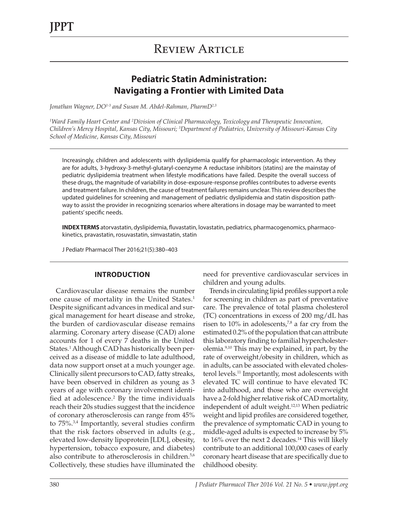# **Pediatric Statin Administration: Navigating a Frontier with Limited Data**

*Jonathan Wagner, DO1-3 and Susan M. Abdel-Rahman, PharmD2,3*

*1 Ward Family Heart Center and 2 Division of Clinical Pharmacology, Toxicology and Therapeutic Innovation, Children's Mercy Hospital, Kansas City, Missouri; 3 Department of Pediatrics, University of Missouri-Kansas City School of Medicine, Kansas City, Missouri*

Increasingly, children and adolescents with dyslipidemia qualify for pharmacologic intervention. As they are for adults, 3-hydroxy-3-methyl-glutaryl-coenzyme A reductase inhibitors (statins) are the mainstay of pediatric dyslipidemia treatment when lifestyle modifications have failed. Despite the overall success of these drugs, the magnitude of variability in dose-exposure-response profiles contributes to adverse events and treatment failure. In children, the cause of treatment failures remains unclear. This review describes the updated guidelines for screening and management of pediatric dyslipidemia and statin disposition pathway to assist the provider in recognizing scenarios where alterations in dosage may be warranted to meet patients' specific needs.

**INDEX TERMS** atorvastatin, dyslipidemia, fluvastatin, lovastatin, pediatrics, pharmacogenomics, pharmacokinetics, pravastatin, rosuvastatin, simvastatin, statin

J Pediatr Pharmacol Ther 2016;21(5):380–403

### **INTRODUCTION**

Cardiovascular disease remains the number one cause of mortality in the United States.<sup>1</sup> Despite significant advances in medical and surgical management for heart disease and stroke, the burden of cardiovascular disease remains alarming. Coronary artery disease (CAD) alone accounts for 1 of every 7 deaths in the United States.1 Although CAD has historically been perceived as a disease of middle to late adulthood, data now support onset at a much younger age. Clinically silent precursors to CAD, fatty streaks, have been observed in children as young as 3 years of age with coronary involvement identified at adolescence. $2$  By the time individuals reach their 20s studies suggest that the incidence of coronary atherosclerosis can range from 45% to 75%.3,4 Importantly, several studies confirm that the risk factors observed in adults (e.g., elevated low-density lipoprotein [LDL], obesity, hypertension, tobacco exposure, and diabetes) also contribute to atherosclerosis in children.<sup>5,6</sup> Collectively, these studies have illuminated the

need for preventive cardiovascular services in children and young adults.

Trends in circulating lipid profiles support a role for screening in children as part of preventative care. The prevalence of total plasma cholesterol (TC) concentrations in excess of 200 mg/dL has risen to  $10\%$  in adolescents,<sup>7,8</sup> a far cry from the estimated 0.2% of the population that can attribute this laboratory finding to familial hypercholesterolemia.9,10 This may be explained, in part, by the rate of overweight/obesity in children, which as in adults, can be associated with elevated cholesterol levels.<sup>11</sup> Importantly, most adolescents with elevated TC will continue to have elevated TC into adulthood, and those who are overweight have a 2-fold higher relative risk of CAD mortality, independent of adult weight.12,13 When pediatric weight and lipid profiles are considered together, the prevalence of symptomatic CAD in young to middle-aged adults is expected to increase by 5% to  $16\%$  over the next 2 decades.<sup>14</sup> This will likely contribute to an additional 100,000 cases of early coronary heart disease that are specifically due to childhood obesity.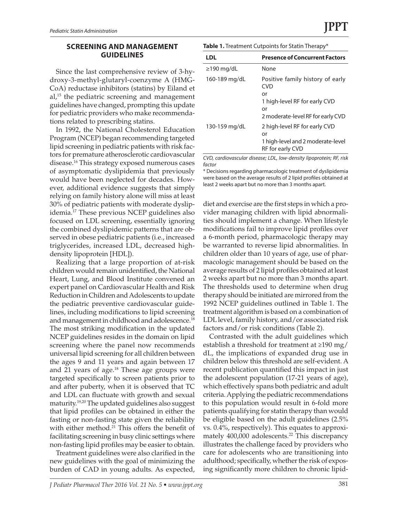Since the last comprehensive review of 3-hydroxy-3-methyl-glutaryl-coenzyme A (HMG-CoA) reductase inhibitors (statins) by Eiland et  $al^{15}$  the pediatric screening and management guidelines have changed, prompting this update for pediatric providers who make recommendations related to prescribing statins.

In 1992, the National Cholesterol Education Program (NCEP) began recommending targeted lipid screening in pediatric patients with risk factors for premature atherosclerotic cardiovascular disease.16 This strategy exposed numerous cases of asymptomatic dyslipidemia that previously would have been neglected for decades. However, additional evidence suggests that simply relying on family history alone will miss at least 30% of pediatric patients with moderate dyslipidemia.17 These previous NCEP guidelines also focused on LDL screening, essentially ignoring the combined dyslipidemic patterns that are observed in obese pediatric patients (i.e., increased triglycerides, increased LDL, decreased highdensity lipoprotein [HDL]).

Realizing that a large proportion of at-risk children would remain unidentified, the National Heart, Lung, and Blood Institute convened an expert panel on Cardiovascular Health and Risk Reduction in Children and Adolescents to update the pediatric preventive cardiovascular guidelines, including modifications to lipid screening and management in childhood and adolescence.18 The most striking modification in the updated NCEP guidelines resides in the domain on lipid screening where the panel now recommends universal lipid screening for all children between the ages 9 and 11 years and again between 17 and 21 years of age.<sup>18</sup> These age groups were targeted specifically to screen patients prior to and after puberty, when it is observed that TC and LDL can fluctuate with growth and sexual maturity.19,20 The updated guidelines also suggest that lipid profiles can be obtained in either the fasting or non-fasting state given the reliability with either method.<sup>21</sup> This offers the benefit of facilitating screening in busy clinic settings where non-fasting lipid profiles may be easier to obtain.

Treatment guidelines were also clarified in the new guidelines with the goal of minimizing the burden of CAD in young adults. As expected,

| LDL              | <b>Presence of Concurrent Factors</b>          |
|------------------|------------------------------------------------|
| $\geq$ 190 mg/dL | None                                           |
| 160-189 mg/dL    | Positive family history of early<br><b>CVD</b> |
|                  | or                                             |
|                  | 1 high-level RF for early CVD                  |
|                  | or                                             |
|                  | 2 moderate-level RF for early CVD              |
| 130-159 mg/dL    | 2 high-level RF for early CVD                  |
|                  | or                                             |
|                  | 1 high-level and 2 moderate-level              |
|                  | RF for early CVD                               |

*CVD, cardiovascular disease; LDL, low-density lipoprotein; RF, risk factor*

\* Decisions regarding pharmacologic treatment of dyslipidemia were based on the average results of 2 lipid profiles obtained at least 2 weeks apart but no more than 3 months apart.

diet and exercise are the first steps in which a provider managing children with lipid abnormalities should implement a change. When lifestyle modifications fail to improve lipid profiles over a 6-month period, pharmacologic therapy may be warranted to reverse lipid abnormalities. In children older than 10 years of age, use of pharmacologic management should be based on the average results of 2 lipid profiles obtained at least 2 weeks apart but no more than 3 months apart. The thresholds used to determine when drug therapy should be initiated are mirrored from the 1992 NCEP guidelines outlined in Table 1. The treatment algorithm is based on a combination of LDL level, family history, and/or associated risk factors and/or risk conditions (Table 2).

Contrasted with the adult guidelines which establish a threshold for treatment at ≥190 mg/ dL, the implications of expanded drug use in children below this threshold are self-evident. A recent publication quantified this impact in just the adolescent population (17-21 years of age), which effectively spans both pediatric and adult criteria. Applying the pediatric recommendations to this population would result in 6-fold more patients qualifying for statin therapy than would be eligible based on the adult guidelines (2.5% vs. 0.4%, respectively). This equates to approximately 400,000 adolescents.<sup>22</sup> This discrepancy illustrates the challenge faced by providers who care for adolescents who are transitioning into adulthood; specifically, whether the risk of exposing significantly more children to chronic lipid-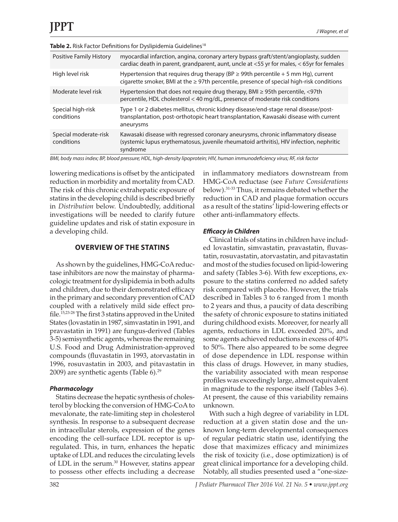| <b>Positive Family History</b>      | myocardial infarction, angina, coronary artery bypass graft/stent/angioplasty, sudden<br>cardiac death in parent, grandparent, aunt, uncle at <55 yr for males, < 65yr for females        |
|-------------------------------------|-------------------------------------------------------------------------------------------------------------------------------------------------------------------------------------------|
| High level risk                     | Hypertension that requires drug therapy (BP $\geq$ 99th percentile + 5 mm Hg), current<br>cigarette smoker, BMI at the $\geq$ 97th percentile, presence of special high-risk conditions   |
| Moderate level risk                 | Hypertension that does not require drug therapy, BMI ≥ 95th percentile, <97th<br>percentile, HDL cholesterol < 40 mg/dL, presence of moderate risk conditions                             |
| Special high-risk<br>conditions     | Type 1 or 2 diabetes mellitus, chronic kidney disease/end-stage renal disease/post-<br>transplantation, post-orthotopic heart transplantation, Kawasaki disease with current<br>aneurysms |
| Special moderate-risk<br>conditions | Kawasaki disease with regressed coronary aneurysms, chronic inflammatory disease<br>(systemic lupus erythematosus, juvenile rheumatoid arthritis), HIV infection, nephritic<br>syndrome   |

*BMI, body mass index; BP, blood pressure; HDL, high-density lipoprotein; HIV, human immunodeficiency virus; RF, risk factor*

lowering medications is offset by the anticipated reduction in morbidity and mortality from CAD. The risk of this chronic extrahepatic exposure of statins in the developing child is described briefly in *Distribution* below. Undoubtedly, additional investigations will be needed to clarify future guideline updates and risk of statin exposure in a developing child.

#### **OVERVIEW OF THE STATINS**

As shown by the guidelines, HMG-CoA reductase inhibitors are now the mainstay of pharmacologic treatment for dyslipidemia in both adults and children, due to their demonstrated efficacy in the primary and secondary prevention of CAD coupled with a relatively mild side effect profile.15,23-28 The first 3 statins approved in the United States (lovastatin in 1987, simvastatin in 1991, and pravastatin in 1991) are fungus-derived (Tables 3-5) semisynthetic agents, whereas the remaining U.S. Food and Drug Administration-approved compounds (fluvastatin in 1993, atorvastatin in 1996, rosuvastatin in 2003, and pitavastatin in 2009) are synthetic agents (Table  $6$ ).<sup>29</sup>

### *Pharmacology*

Statins decrease the hepatic synthesis of cholesterol by blocking the conversion of HMG-CoA to mevalonate, the rate-limiting step in cholesterol synthesis. In response to a subsequent decrease in intracellular sterols, expression of the genes encoding the cell-surface LDL receptor is upregulated. This, in turn, enhances the hepatic uptake of LDL and reduces the circulating levels of LDL in the serum.<sup>30</sup> However, statins appear to possess other effects including a decrease

in inflammatory mediators downstream from HMG-CoA reductase (see *Future Considerations* below).31-33 Thus, it remains debated whether the reduction in CAD and plaque formation occurs as a result of the statins' lipid-lowering effects or other anti-inflammatory effects.

#### *Efficacy in Children*

Clinical trials of statins in children have included lovastatin, simvastatin, pravastatin, fluvastatin, rosuvastatin, atorvastatin, and pitavastatin and most of the studies focused on lipid-lowering and safety (Tables 3-6). With few exceptions, exposure to the statins conferred no added safety risk compared with placebo. However, the trials described in Tables 3 to 6 ranged from 1 month to 2 years and thus, a paucity of data describing the safety of chronic exposure to statins initiated during childhood exists. Moreover, for nearly all agents, reductions in LDL exceeded 20%, and some agents achieved reductions in excess of 40% to 50%. There also appeared to be some degree of dose dependence in LDL response within this class of drugs. However, in many studies, the variability associated with mean response profiles was exceedingly large, almost equivalent in magnitude to the response itself (Tables 3-6). At present, the cause of this variability remains unknown.

With such a high degree of variability in LDL reduction at a given statin dose and the unknown long-term developmental consequences of regular pediatric statin use, identifying the dose that maximizes efficacy and minimizes the risk of toxicity (i.e., dose optimization) is of great clinical importance for a developing child. Notably, all studies presented used a "one-size-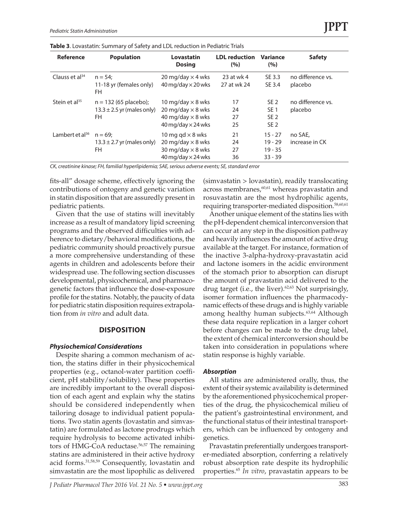| <b>Reference</b>            | <b>Population</b>                                                | Lovastatin<br><b>Dosing</b>                                                                                     | <b>LDL</b> reduction<br>(%) | Variance<br>(%)                                                          | <b>Safety</b>                |
|-----------------------------|------------------------------------------------------------------|-----------------------------------------------------------------------------------------------------------------|-----------------------------|--------------------------------------------------------------------------|------------------------------|
| Clauss et $al^{34}$         | $n = 54$<br>11-18 yr (females only)<br>FH.                       | 20 mg/day $\times$ 4 wks<br>$40$ mg/day $\times$ 20 wks                                                         | 23 at wk 4<br>27 at wk 24   | SE 3.3<br>SE 3.4                                                         | no difference vs.<br>placebo |
| Stein et $al^{35}$          | $n = 132 (65$ placebo);<br>$13.3 \pm 2.5$ yr (males only)<br>FH. | 10 mg/day $\times$ 8 wks<br>20 mg/day $\times$ 8 wks<br>40 mg/day $\times$ 8 wks<br>$40$ mg/day $\times$ 24 wks | 17<br>24<br>27<br>25        | SE <sub>2</sub><br>SE <sub>1</sub><br>SE <sub>2</sub><br>SE <sub>2</sub> | no difference vs.<br>placebo |
| Lambert et al <sup>36</sup> | $n = 69$<br>$13.3 \pm 2.7$ yr (males only)<br>FH.                | 10 mg gd $\times$ 8 wks<br>20 mg/day $\times$ 8 wks<br>30 mg/day $\times$ 8 wks<br>$40$ mg/day $\times$ 24 wks  | 21<br>24<br>27<br>36        | $15 - 27$<br>$19 - 29$<br>$19 - 35$<br>$33 - 39$                         | no SAE.<br>increase in CK    |

*CK, creatinine kinase; FH, familial hyperlipidemia; SAE, serious adverse events; SE, standard error*

fits-all" dosage scheme, effectively ignoring the contributions of ontogeny and genetic variation in statin disposition that are assuredly present in pediatric patients.

Given that the use of statins will inevitably increase as a result of mandatory lipid screening programs and the observed difficulties with adherence to dietary/behavioral modifications, the pediatric community should proactively pursue a more comprehensive understanding of these agents in children and adolescents before their widespread use. The following section discusses developmental, physicochemical, and pharmacogenetic factors that influence the dose-exposure profile for the statins. Notably, the paucity of data for pediatric statin disposition requires extrapolation from *in vitro* and adult data.

#### **DISPOSITION**

#### *Physiochemical Considerations*

Despite sharing a common mechanism of action, the statins differ in their physicochemical properties (e.g., octanol-water partition coefficient, pH stability/solubility). These properties are incredibly important to the overall disposition of each agent and explain why the statins should be considered independently when tailoring dosage to individual patient populations. Two statin agents (lovastatin and simvastatin) are formulated as lactone prodrugs which require hydrolysis to become activated inhibitors of HMG-CoA reductase.<sup>56,57</sup> The remaining statins are administered in their active hydroxy acid forms.31,58,59 Consequently, lovastatin and simvastatin are the most lipophilic as delivered

(simvastatin > lovastatin), readily translocating across membranes, $60,61$  whereas pravastatin and rosuvastatin are the most hydrophilic agents, requiring transporter-mediated disposition.<sup>58,60,61</sup>

Another unique element of the statins lies with the pH-dependent chemical interconversion that can occur at any step in the disposition pathway and heavily influences the amount of active drug available at the target. For instance, formation of the inactive 3-alpha-hydroxy-pravastatin acid and lactone isomers in the acidic environment of the stomach prior to absorption can disrupt the amount of pravastatin acid delivered to the drug target (i.e., the liver).<sup>62,63</sup> Not surprisingly, isomer formation influences the pharmacodynamic effects of these drugs and is highly variable among healthy human subjects.<sup>63,64</sup> Although these data require replication in a larger cohort before changes can be made to the drug label, the extent of chemical interconversion should be taken into consideration in populations where statin response is highly variable.

#### *Absorption*

All statins are administered orally, thus, the extent of their systemic availability is determined by the aforementioned physicochemical properties of the drug, the physicochemical milieu of the patient's gastrointestinal environment, and the functional status of their intestinal transporters, which can be influenced by ontogeny and genetics.

Pravastatin preferentially undergoes transporter-mediated absorption, conferring a relatively robust absorption rate despite its hydrophilic properties.65 *In vitro*, pravastatin appears to be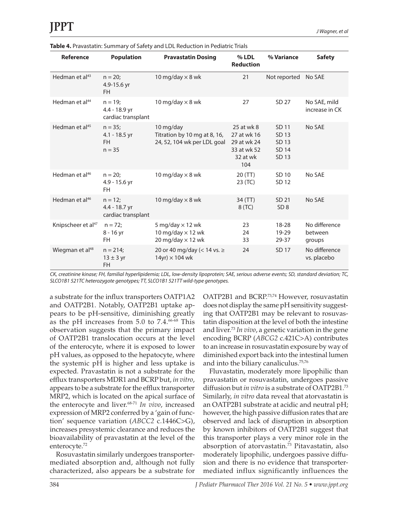| <b>Reference</b>               | <b>Population</b>                                      | <b>Pravastatin Dosing</b>                                                       | $%$ LDL<br><b>Reduction</b>                                                | % Variance                                | <b>Safety</b>                      |
|--------------------------------|--------------------------------------------------------|---------------------------------------------------------------------------------|----------------------------------------------------------------------------|-------------------------------------------|------------------------------------|
| Hedman et al <sup>43</sup>     | $n = 20$ ;<br>4.9-15.6 yr<br>FH.                       | 10 mg/day $\times$ 8 wk                                                         | 21                                                                         | Not reported No SAE                       |                                    |
| Hedman et al <sup>44</sup>     | $n = 19;$<br>4.4 - 18.9 yr<br>cardiac transplant       | 10 mg/day $\times$ 8 wk                                                         | 27                                                                         | SD 27                                     | No SAE, mild<br>increase in CK     |
| Hedman et $al45$               | $n = 35$ ;<br>$4.1 - 18.5$ yr<br><b>FH</b><br>$n = 35$ | 10 mg/day<br>Titration by 10 mg at 8, 16,<br>24, 52, 104 wk per LDL goal        | 25 at wk 8<br>27 at wk 16<br>29 at wk 24<br>33 at wk 52<br>32 at wk<br>104 | SD 11<br>SD 13<br>SD 13<br>SD 14<br>SD 13 | No SAE                             |
| Hedman et al <sup>46</sup>     | $n = 20$ ;<br>4.9 - 15.6 yr<br>FH.                     | 10 mg/day $\times$ 8 wk                                                         | 20(TT)<br>23 (TC)                                                          | SD 10<br>SD 12                            | No SAE                             |
| Hedman et al <sup>46</sup>     | $n = 12$ ;<br>4.4 - 18.7 yr<br>cardiac transplant      | 10 mg/day $\times$ 8 wk                                                         | 34 (TT)<br>8 (TC)                                                          | SD 21<br>SD <sub>8</sub>                  | No SAE                             |
| Knipscheer et al <sup>47</sup> | $n = 72$ ;<br>8 - 16 yr<br>FH.                         | 5 mg/day $\times$ 12 wk<br>10 mg/day $\times$ 12 wk<br>20 mg/day $\times$ 12 wk | 23<br>24<br>33                                                             | $18 - 28$<br>19-29<br>29-37               | No difference<br>between<br>groups |
| Wiegman et al <sup>48</sup>    | $n = 214$ ;<br>$13 \pm 3$ yr<br><b>FH</b>              | 20 or 40 mg/day (< 14 vs. $\ge$<br>$14yr \times 104$ wk                         | 24                                                                         | SD 17                                     | No difference<br>vs. placebo       |

**Table 4.** Pravastatin: Summary of Safety and LDL Reduction in Pediatric Trials

*CK, creatinine kinase; FH, familial hyperlipidemia; LDL, low-density lipoprotein; SAE, serious adverse events; SD, standard deviation; TC, SLCO1B1 521TC heterozygote genotypes; TT, SLCO1B1 521TT wild-type genotypes.*

a substrate for the influx transporters OATP1A2 and OATP2B1. Notably, OATP2B1 uptake appears to be pH-sensitive, diminishing greatly as the pH increases from  $5.0$  to  $7.4.^{66-68}$  This observation suggests that the primary impact of OATP2B1 translocation occurs at the level of the enterocyte, where it is exposed to lower pH values, as opposed to the hepatocyte, where the systemic pH is higher and less uptake is expected. Pravastatin is not a substrate for the efflux transporters MDR1 and BCRP but, *in vitro*, appears to be a substrate for the efflux transporter MRP2, which is located on the apical surface of the enterocyte and liver.<sup>68-71</sup> In vivo, increased expression of MRP2 conferred by a 'gain of function' sequence variation (*ABCC2* c.1446C>G), increases presystemic clearance and reduces the bioavailability of pravastatin at the level of the enterocyte.72

Rosuvastatin similarly undergoes transportermediated absorption and, although not fully characterized, also appears be a substrate for OATP2B1 and BCRP.73,74 However, rosuvastatin does not display the same pH sensitivity suggesting that OATP2B1 may be relevant to rosuvastatin disposition at the level of both the intestine and liver.73 *In vivo*, a genetic variation in the gene encoding BCRP (*ABCG2* c.421C>A) contributes to an increase in rosuvastatin exposure by way of diminished export back into the intestinal lumen and into the biliary canaliculus.75,76

Fluvastatin, moderately more lipophilic than pravastatin or rosuvastatin, undergoes passive diffusion but *in vitro* is a substrate of OATP2B1.73 Similarly, *in vitro* data reveal that atorvastatin is an OATP2B1 substrate at acidic and neutral pH; however, the high passive diffusion rates that are observed and lack of disruption in absorption by known inhibitors of OATP2B1 suggest that this transporter plays a very minor role in the absorption of atorvastatin.73 Pitavastatin, also moderately lipophilic, undergoes passive diffusion and there is no evidence that transportermediated influx significantly influences the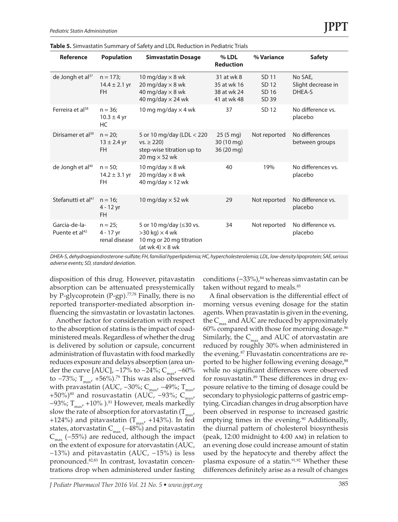| <b>Reference</b>                            | <b>Population</b>                           | <b>Simvastatin Dosage</b>                                                                                 | $%$ LDL<br><b>Reduction</b>                             | % Variance                       | <b>Safety</b>                           |
|---------------------------------------------|---------------------------------------------|-----------------------------------------------------------------------------------------------------------|---------------------------------------------------------|----------------------------------|-----------------------------------------|
| de Jongh et al $37$                         | $n = 173$<br>$14.4 \pm 2.1$ yr<br><b>FH</b> | 10 mg/day $\times$ 8 wk<br>20 mg/day $\times$ 8 wk<br>40 mg/day $\times$ 8 wk<br>40 mg/day $\times$ 24 wk | 31 at wk 8<br>35 at wk 16<br>38 at wk 24<br>41 at wk 48 | SD 11<br>SD 12<br>SD 16<br>SD 39 | No SAE.<br>Slight decrease in<br>DHEA-S |
| Ferreira et al <sup>38</sup>                | $n = 36$<br>$10.3 \pm 4$ yr<br><b>HC</b>    | 10 mg mg/day $\times$ 4 wk                                                                                | 37                                                      | SD 12                            | No difference vs.<br>placebo            |
| Dirisamer et al <sup>39</sup>               | $n = 20$ :<br>$13 \pm 2.4$ yr<br><b>FH</b>  | 5 or 10 mg/day (LDL < 220<br>$vs. \ge 220$<br>step-wise titration up to<br>20 mg $\times$ 52 wk           | $25(5 \text{ mg})$<br>30 (10 mg)<br>36 (20 mg)          | Not reported                     | No differences<br>between groups        |
| de Jongh et al <sup>40</sup>                | $n = 50$<br>$14.2 \pm 3.1$ yr<br><b>FH</b>  | 10 mg/day $\times$ 8 wk<br>20 mg/day $\times$ 8 wk<br>40 mg/day $\times$ 12 wk                            | 40                                                      | 19%                              | No differences vs.<br>placebo           |
| Stefanutti et al <sup>41</sup>              | $n = 16$<br>$4 - 12$ yr<br><b>FH</b>        | 10 mg/day $\times$ 52 wk                                                                                  | 29                                                      | Not reported                     | No difference vs.<br>placebo            |
| Garcia-de-la-<br>Puente et al <sup>42</sup> | $n = 25;$<br>4 - 17 yr<br>renal disease     | 5 or 10 mg/day (≤30 vs.<br>$>30$ kg) $\times$ 4 wk<br>10 mg or 20 mg titration<br>$(at wk 4) \times 8 wk$ | 34                                                      | Not reported                     | No difference vs.<br>placebo            |

**Table 5.** Simvastatin Summary of Safety and LDL Reduction in Pediatric Trials

*DHEA-S, dehydroepiandrosterone-sulfate; FH, familial hyperlipidemia; HC, hypercholesterolemia; LDL, low-density lipoprotein; SAE, serious adverse events; SD, standard deviation.*

disposition of this drug. However, pitavastatin absorption can be attenuated presystemically by P-glycoprotein (P-gp).<sup>77,78</sup> Finally, there is no reported transporter-mediated absorption influencing the simvastatin or lovastatin lactones.

Another factor for consideration with respect to the absorption of statins is the impact of coadministered meals. Regardless of whether the drug is delivered by solution or capsule, concurrent administration of fluvastatin with food markedly reduces exposure and delays absorption (area under the curve [AUC],  $-17\%$  to  $-24\%$ ; C<sub>max</sub>,  $-60\%$ to −73%; T<sub>max</sub>, +56%).<sup>79</sup> This was also observed with pravastatin (AUC, –30%; C<sub>max</sub>, –49%; T<sub>max</sub>, +50%)<sup>80</sup> and rosuvastatin (AUC, -93%; C<sub>max</sub>,  $-93\%$ ; T<sub>max</sub>, +10% ).<sup>81</sup> However, meals markedly slow the rate of absorption for atorvastatin  $(T<sub>max</sub>)$ +124%) and pitavastatin ( $T_{\text{max}}$ , +143%). In fed states, atorvastatin  $C_{\text{max}}$  (−48%) and pitavastatin  $C_{\text{max}}$  (−55%) are reduced, although the impact on the extent of exposure for atorvastatin (AUC, −13%) and pitavastatin (AUC, −15%) is less pronounced.82,83 In contrast, lovastatin concentrations drop when administered under fasting

conditions  $(\sim 33\%)$ ,  $\frac{84}{3}$  whereas simvastatin can be taken without regard to meals.<sup>85</sup>

A final observation is the differential effect of morning versus evening dosage for the statin agents. When pravastatin is given in the evening, the  $C_{\text{max}}$  and AUC are reduced by approximately  $60\%$  compared with those for morning dosage. $86$ Similarly, the  $C_{\text{max}}$  and AUC of atorvastatin are reduced by roughly 30% when administered in the evening.<sup>87</sup> Fluvastatin concentrations are reported to be higher following evening dosage,<sup>88</sup> while no significant differences were observed for rosuvastatin.<sup>89</sup> These differences in drug exposure relative to the timing of dosage could be secondary to physiologic patterns of gastric emptying. Circadian changes in drug absorption have been observed in response to increased gastric emptying times in the evening.<sup>90</sup> Additionally, the diurnal pattern of cholesterol biosynthesis (peak, 12:00 midnight to 4:00 am) in relation to an evening dose could increase amount of statin used by the hepatocyte and thereby affect the plasma exposure of a statin.<sup>91,92</sup> Whether these differences definitely arise as a result of changes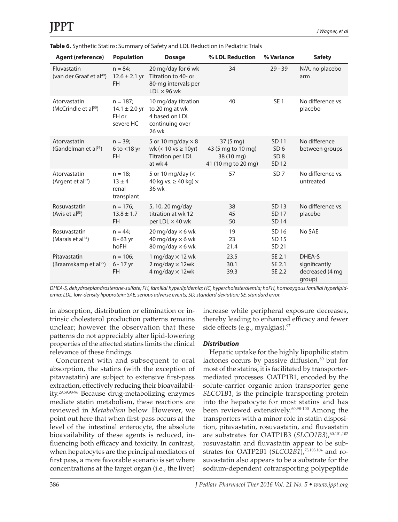| <b>Agent (reference)</b>                            | <b>Population</b>                                      | <b>Dosage</b>                                                                            | % LDL Reduction                                                               | % Variance                                           | <b>Safety</b>                                        |
|-----------------------------------------------------|--------------------------------------------------------|------------------------------------------------------------------------------------------|-------------------------------------------------------------------------------|------------------------------------------------------|------------------------------------------------------|
| Fluvastatin<br>(van der Graaf et al <sup>49</sup> ) | $n = 84$ ;<br>$12.6 \pm 2.1$ yr<br><b>FH</b>           | 20 mg/day for 6 wk<br>Titration to 40- or<br>80-mg intervals per<br>$LDL \times 96$ wk   | 34                                                                            | $29 - 39$                                            | N/A, no placebo<br>arm                               |
| Atorvastatin<br>(McCrindle et al <sup>50</sup> )    | $n = 187$ ;<br>$14.1 \pm 2.0$ yr<br>FH or<br>severe HC | 10 mg/day titration<br>to 20 mg at wk<br>4 based on LDL<br>continuing over<br>26 wk      | 40                                                                            | SE <sub>1</sub>                                      | No difference vs.<br>placebo                         |
| Atorvastatin<br>(Gandelman et al <sup>51</sup> )    | $n = 39;$<br>$6$ to $<$ 18 yr<br><b>FH</b>             | 5 or 10 mg/day $\times$ 8<br>wk ( $< 10$ vs $\ge 10$ yr)<br>Titration per LDL<br>at wk 4 | $37(5 \text{ mg})$<br>43 (5 mg to 10 mg)<br>38 (10 mg)<br>41 (10 mg to 20 mg) | SD 11<br>SD <sub>6</sub><br>SD <sub>8</sub><br>SD 12 | No difference<br>between groups                      |
| Atorvastatin<br>(Argent et al <sup>52</sup> )       | $n = 18$<br>$13 \pm 4$<br>renal<br>transplant          | 5 or 10 mg/day (<<br>40 kg vs. $\geq$ 40 kg) $\times$<br>36 wk                           | 57                                                                            | SD <sub>7</sub>                                      | No difference vs.<br>untreated                       |
| Rosuvastatin<br>(Avis et al <sup>53</sup> )         | $n = 176$ ;<br>$13.8 \pm 1.7$<br><b>FH</b>             | 5, 10, 20 mg/day<br>titration at wk 12<br>per LDL $\times$ 40 wk                         | 38<br>45<br>50                                                                | SD 13<br>SD 17<br>SD 14                              | No difference vs.<br>placebo                         |
| Rosuvastatin<br>(Marais et al <sup>54</sup> )       | $n = 44$<br>$8 - 63$ yr<br>hoFH                        | 20 mg/day $\times$ 6 wk<br>40 mg/day $\times$ 6 wk<br>80 mg/day $\times$ 6 wk            | 19<br>23<br>21.4                                                              | SD 16<br>SD 15<br>SD 21                              | No SAE                                               |
| Pitavastatin<br>(Braamskamp et al <sup>55</sup> )   | $n = 106$<br>6 - 17 yr<br><b>FH</b>                    | 1 mg/day $\times$ 12 wk<br>$2$ mg/day $\times$ 12wk<br>4 mg/day $\times$ 12wk            | 23.5<br>30.1<br>39.3                                                          | SE 2.1<br>SE 2.1<br>SE 2.2                           | DHEA-S<br>significantly<br>decreased (4 mg<br>group) |

| Table 6. Synthetic Statins: Summary of Safety and LDL Reduction in Pediatric Trials |  |  |
|-------------------------------------------------------------------------------------|--|--|
|-------------------------------------------------------------------------------------|--|--|

*DHEA-S, dehydroepiandrosterone-sulfate; FH, familial hyperlipidemia; HC, hypercholesterolemia; hoFH, homozygous familial hyperlipidemia; LDL, low-density lipoprotein; SAE, serious adverse events; SD, standard deviation; SE, standard error.*

in absorption, distribution or elimination or intrinsic cholesterol production patterns remains unclear; however the observation that these patterns do not appreciably alter lipid-lowering properties of the affected statins limits the clinical relevance of these findings.

Concurrent with and subsequent to oral absorption, the statins (with the exception of pitavastatin) are subject to extensive first-pass extraction, effectively reducing their bioavailability.29,59,93-96 Because drug-metabolizing enzymes mediate statin metabolism, these reactions are reviewed in *Metabolism* below. However, we point out here that when first-pass occurs at the level of the intestinal enterocyte, the absolute bioavailability of these agents is reduced, influencing both efficacy and toxicity. In contrast, when hepatocytes are the principal mediators of first pass, a more favorable scenario is set where concentrations at the target organ (i.e., the liver)

increase while peripheral exposure decreases, thereby leading to enhanced efficacy and fewer side effects (e.g., myalgias).<sup>97</sup>

#### *Distribution*

Hepatic uptake for the highly lipophilic statin lactones occurs by passive diffusion, $60$  but for most of the statins, it is facilitated by transportermediated processes. OATP1B1, encoded by the solute-carrier organic anion transporter gene *SLCO1B1*, is the principle transporting protein into the hepatocyte for most statins and has been reviewed extensively.60,98-100 Among the transporters with a minor role in statin disposition, pitavastatin, rosuvastatin, and fluvastatin are substrates for OATP1B3 (*SLCO1B3*),<sup>60,101,102</sup> rosuvastatin and fluvastatin appear to be substrates for OATP2B1 (*SLCO2B1*),73,103,104 and rosuvastatin also appears to be a substrate for the sodium-dependent cotransporting polypeptide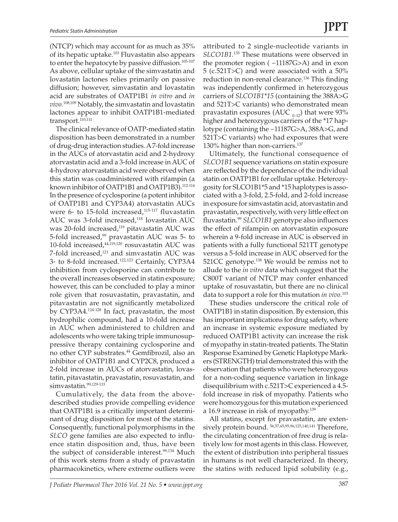(NTCP) which may account for as much as 35% of its hepatic uptake.103 Fluvastatin also appears to enter the hepatocyte by passive diffusion.<sup>105-107</sup> As above, cellular uptake of the simvastatin and lovastatin lactones relies primarily on passive diffusion; however, simvastatin and lovastatin acid are substrates of OATP1B1 *in vitro* and *in vivo.*108,109 Notably, the simvastatin and lovastatin lactones appear to inhibit OATP1B1-mediated transport.<sup>110,111</sup>

The clinical relevance of OATP-mediated statin disposition has been demonstrated in a number of drug-drug interaction studies. A 7-fold increase in the AUCs of atorvastatin acid and 2-hydroxy atorvastatin acid and a 3-fold increase in AUC of 4-hydroxy atorvastatin acid were observed when this statin was coadministered with rifampin (a known inhibitor of OATP1B1 and OATP1B3).<sup>112-114</sup> In the presence of cyclosporine (a potent inhibitor of OATP1B1 and CYP3A4) atorvastatin AUCs were 6- to 15-fold increased, $115-117$  fluvastatin AUC was 3-fold increased,<sup>118</sup> lovastatin AUC was 20-fold increased,<sup>119</sup> pitavastatin AUC was 5-fold increased,99 pravastatin AUC was 5- to 10-fold increased, $44,119,120$  rosuvastatin AUC was 7-fold increased,<sup>121</sup> and simvastatin AUC was 3- to 8-fold increased.122,123 Certainly, CYP3A4 inhibition from cyclosporine can contribute to the overall increases observed in statin exposure; however, this can be concluded to play a minor role given that rosuvastatin, pravastatin, and pitavastatin are not significantly metabolized by CYP3A4.124-128 In fact, pravastatin, the most hydrophilic compound, had a 10-fold increase in AUC when administered to children and adolescents who were taking triple immunosuppressive therapy containing cyclosporine and no other CYP substrates.<sup>44</sup> Gemfibrozil, also an inhibitor of OATP1B1 and CYP2C8, produced a 2-fold increase in AUCs of atorvastatin, lovastatin, pitavastatin, pravastatin, rosuvastatin, and simvastatin.<sup>99,129-133</sup>

Cumulatively, the data from the abovedescribed studies provide compelling evidence that OATP1B1 is a critically important determinant of drug disposition for most of the statins. Consequently, functional polymorphisms in the *SLCO* gene families are also expected to influence statin disposition and, thus, have been the subject of considerable interest.<sup>99,134</sup> Much of this work stems from a study of pravastatin pharmacokinetics, where extreme outliers were

attributed to 2 single-nucleotide variants in *SLCO1B1.*135 These mutations were observed in the promoter region ( −11187G>A) and in exon 5 (c.521T>C) and were associated with a 50% reduction in non-renal clearance.<sup>136</sup> This finding was independently confirmed in heterozygous carriers of *SLCO1B1\*15* (containing the 388A>G and 521T>C variants) who demonstrated mean pravastatin exposures (AUC  $_{0-12}$ ) that were 93% higher and heterozygous carriers of the \*17 haplotype (containing the −11187G>A, 388A>G, and 521T>C variants) who had exposures that were 130% higher than non-carriers.<sup>137</sup>

Ultimately, the functional consequence of *SLCO1B1* sequence variations on statin exposure are reflected by the dependence of the individual statin on OATP1B1 for cellular uptake. Heterozygosity for SLCO1B1\*5 and \*15 haplotypes is associated with a 3-fold, 2.5-fold, and 2-fold increase in exposure for simvastatin acid, atorvastatin and pravastatin, respectively, with very little effect on fluvastatin.99 *SLCO1B1* genotype also influences the effect of rifampin on atorvastatin exposure wherein a 9-fold increase in AUC is observed in patients with a fully functional 521TT genotype versus a 5-fold increase in AUC observed for the 521CC genotype.<sup>138</sup> We would be remiss not to allude to the *in vitro* data which suggest that the C800T variant of NTCP may confer enhanced uptake of rosuvastatin, but there are no clinical data to support a role for this mutation *in vivo.*<sup>103</sup>

These studies underscore the critical role of OATP1B1 in statin disposition. By extension, this has important implications for drug safety, where an increase in systemic exposure mediated by reduced OATP1B1 activity can increase the risk of myopathy in statin-treated patients. The Statin Response Examined by Genetic Haplotype Markers (STRENGTH) trial demonstrated this with the observation that patients who were heterozygous for a non-coding sequence variation in linkage disequilibrium with c.521T>C experienced a 4.5 fold increase in risk of myopathy. Patients who were homozygous for this mutation experienced a 16.9 increase in risk of myopathy.<sup>139</sup>

All statins, except for pravastatin, are extensively protein bound. 56,57,65,95,96,125,140,141 Therefore, the circulating concentration of free drug is relatively low for most agents in this class. However, the extent of distribution into peripheral tissues in humans is not well characterized. In theory, the statins with reduced lipid solubility (e.g.,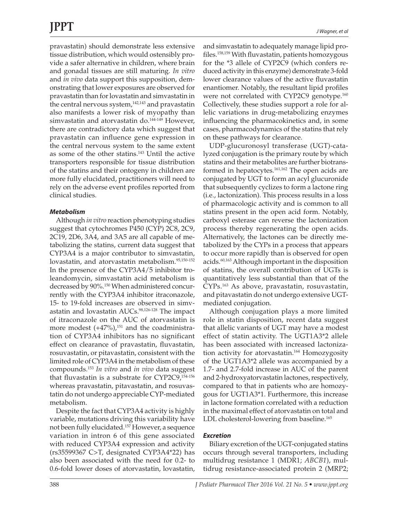pravastatin) should demonstrate less extensive tissue distribution, which would ostensibly provide a safer alternative in children, where brain and gonadal tissues are still maturing. *In vitro* and *in vivo* data support this supposition, demonstrating that lower exposures are observed for pravastatin than for lovastatin and simvastatin in the central nervous system,<sup>142,143</sup> and pravastatin also manifests a lower risk of myopathy than simvastatin and atorvastatin do.<sup>144-149</sup> However, there are contradictory data which suggest that pravastatin can influence gene expression in the central nervous system to the same extent as some of the other statins.<sup>143</sup> Until the active transporters responsible for tissue distribution of the statins and their ontogeny in children are

more fully elucidated, practitioners will need to rely on the adverse event profiles reported from clinical studies.

### *Metabolism*

Although *in vitro* reaction phenotyping studies suggest that cytochromes P450 (CYP) 2C8, 2C9, 2C19, 2D6, 3A4, and 3A5 are all capable of metabolizing the statins, current data suggest that CYP3A4 is a major contributor to simvastatin, lovastatin, and atorvastatin metabolism.95,150-152 In the presence of the CYP3A4/5 inhibitor troleandomycin, simvastatin acid metabolism is decreased by 90%.150 When administered concurrently with the CYP3A4 inhibitor itraconazole, 15- to 19-fold increases are observed in simvastatin and lovastatin AUCs.<sup>98,126-128</sup> The impact of itraconazole on the AUC of atorvastatin is more modest  $(+47%)$ ,<sup>151</sup> and the coadministration of CYP3A4 inhibitors has no significant effect on clearance of pravastatin, fluvastatin, rosuvastatin, or pitavastatin, consistent with the limited role of CYP3A4 in the metabolism of these compounds.153 *In vitro* and *in vivo* data suggest that fluvastatin is a substrate for  $CYP2C9$ ,<sup>154-156</sup> whereas pravastatin, pitavastatin, and rosuvastatin do not undergo appreciable CYP-mediated metabolism.

Despite the fact that CYP3A4 activity is highly variable, mutations driving this variability have not been fully elucidated.157 However, a sequence variation in intron 6 of this gene associated with reduced CYP3A4 expression and activity (rs35599367 C>T, designated CYP3A4\*22) has also been associated with the need for 0.2- to 0.6-fold lower doses of atorvastatin, lovastatin, and simvastatin to adequately manage lipid profiles.158,159 With fluvastatin, patients homozygous for the \*3 allele of CYP2C9 (which confers reduced activity in this enzyme) demonstrate 3-fold lower clearance values of the active fluvastatin enantiomer. Notably, the resultant lipid profiles were not correlated with CYP2C9 genotype.<sup>160</sup> Collectively, these studies support a role for allelic variations in drug-metabolizing enzymes influencing the pharmacokinetics and, in some cases, pharmacodynamics of the statins that rely on these pathways for clearance.

UDP-glucuronosyl transferase (UGT)-catalyzed conjugation is the primary route by which statins and their metabolites are further biotransformed in hepatocytes.<sup>161,162</sup> The open acids are conjugated by UGT to form an acyl glucuronide that subsequently cyclizes to form a lactone ring (i.e., lactonization). This process results in a loss of pharmacologic activity and is common to all statins present in the open acid form. Notably, carboxyl esterase can reverse the lactonization process thereby regenerating the open acids. Alternatively, the lactones can be directly metabolized by the CYPs in a process that appears to occur more rapidly than is observed for open acids.<sup>60,163</sup> Although important in the disposition of statins, the overall contribution of UGTs is quantitatively less substantial than that of the CYPs.163 As above, pravastatin, rosuvastatin, and pitavastatin do not undergo extensive UGTmediated conjugation.

Although conjugation plays a more limited role in statin disposition, recent data suggest that allelic variants of UGT may have a modest effect of statin activity. The UGT1A3\*2 allele has been associated with increased lactonization activity for atorvastatin.<sup>164</sup> Homozygosity of the UGT1A3\*2 allele was accompanied by a 1.7- and 2.7-fold increase in AUC of the parent and 2-hydroxyatorvastatin lactones, respectively, compared to that in patients who are homozygous for UGT1A3\*1. Furthermore, this increase in lactone formation correlated with a reduction in the maximal effect of atorvastatin on total and LDL cholesterol-lowering from baseline.<sup>165</sup>

#### *Excretion*

Biliary excretion of the UGT-conjugated statins occurs through several transporters, including multidrug resistance 1 (MDR1; *ABCB1*), multidrug resistance-associated protein 2 (MRP2;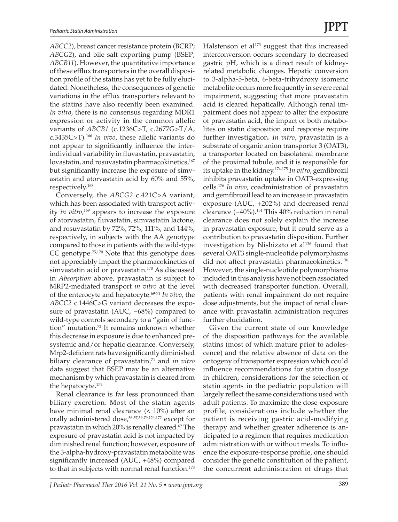*ABCC2*), breast cancer resistance protein (BCRP; *ABCG2*), and bile salt exporting pump (BSEP; *ABCB11*). However, the quantitative importance of these efflux transporters in the overall disposition profile of the statins has yet to be fully elucidated. Nonetheless, the consequences of genetic variations in the efflux transporters relevant to the statins have also recently been examined. *In vitro*, there is no consensus regarding MDR1 expression or activity in the common allelic variants of *ABCB1* (c.1236C>T, c.2677G>T/A, c.3435C>T).166 *In vivo*, these allelic variants do not appear to significantly influence the interindividual variability in fluvastatin, pravastatin, lovastatin, and rosuvastatin pharmacokinetics,<sup>167</sup> but significantly increase the exposure of simvastatin and atorvastatin acid by 60% and 55%, respectively.168

Conversely, the *ABCG2* c.421C>A variant, which has been associated with transport activity *in vitro,*169 appears to increase the exposure of atorvastatin, fluvastatin, simvastatin lactone, and rosuvastatin by 72%, 72%, 111%, and 144%, respectively, in subjects with the AA genotype compared to those in patients with the wild-type CC genotype.75,170 Note that this genotype does not appreciably impact the pharmacokinetics of simvastatin acid or pravastatin.170 As discussed in *Absorption* above, pravastatin is subject to MRP2-mediated transport *in vitro* at the level of the enterocyte and hepatocyte.69-71 *In vivo*, the *ABCC2* c.1446C>G variant decreases the exposure of pravastatin (AUC, −68%) compared to wild-type controls secondary to a "gain of function" mutation.72 It remains unknown whether this decrease in exposure is due to enhanced presystemic and/or hepatic clearance. Conversely, Mrp2-deficient rats have significantly diminished biliary clearance of pravastatin,<sup>71</sup> and *in vitro* data suggest that BSEP may be an alternative mechanism by which pravastatin is cleared from the hepatocyte.171

Renal clearance is far less pronounced than biliary excretion. Most of the statin agents have minimal renal clearance (< 10%) after an orally administered dose,<sup>56,57,59,79,124,172</sup> except for pravastatin in which 20% is renally cleared.<sup>62</sup> The exposure of pravastatin acid is not impacted by diminished renal function; however, exposure of the 3-alpha-hydroxy-pravastatin metabolite was significantly increased (AUC, +48%) compared to that in subjects with normal renal function.<sup>173</sup>

Halstenson et al $173$  suggest that this increased interconversion occurs secondary to decreased gastric pH, which is a direct result of kidneyrelated metabolic changes. Hepatic conversion to 3-alpha-5-beta, 6-beta-trihydroxy isomeric metabolite occurs more frequently in severe renal impairment, suggesting that more pravastatin acid is cleared hepatically. Although renal impairment does not appear to alter the exposure of pravastatin acid, the impact of both metabolites on statin disposition and response require further investigation. *In vitro*, pravastatin is a substrate of organic anion transporter 3 (OAT3), a transporter located on basolateral membrane of the proximal tubule, and it is responsible for its uptake in the kidney.174,175 *In vitro*, gemfibrozil inhibits pravastatin uptake in OAT3-expressing cells.176 *In vivo,* coadministration of pravastatin and gemfibrozil lead to an increase in pravastatin exposure (AUC, +202%) and decreased renal clearance (−40%).131 This 40% reduction in renal clearance does not solely explain the increase in pravastatin exposure, but it could serve as a contribution to pravastatin disposition. Further investigation by Nishizato et al<sup>136</sup> found that several OAT3 single-nucleotide polymorphisms did not affect pravastatin pharmacokinetics.<sup>136</sup> However, the single-nucleotide polymorphisms included in this analysis have not been associated with decreased transporter function. Overall, patients with renal impairment do not require dose adjustments, but the impact of renal clearance with pravastatin administration requires further elucidation.

Given the current state of our knowledge of the disposition pathways for the available statins (most of which mature prior to adolescence) and the relative absence of data on the ontogeny of transporter expression which could influence recommendations for statin dosage in children, considerations for the selection of statin agents in the pediatric population will largely reflect the same considerations used with adult patients. To maximize the dose-exposure profile, considerations include whether the patient is receiving gastric acid-modifying therapy and whether greater adherence is anticipated to a regimen that requires medication administration with or without meals. To influence the exposure-response profile, one should consider the genetic constitution of the patient, the concurrent administration of drugs that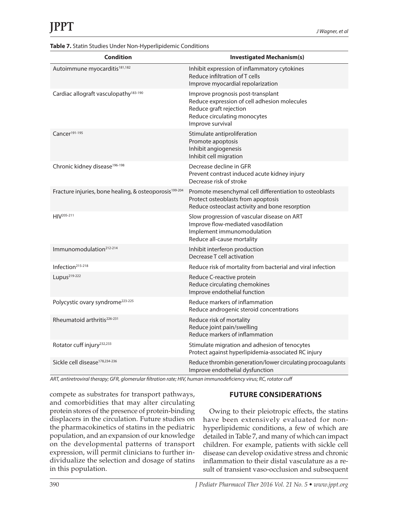|  |  |  | Table 7. Statin Studies Under Non-Hyperlipidemic Conditions |
|--|--|--|-------------------------------------------------------------|
|  |  |  |                                                             |

| <b>Condition</b>                                                   | <b>Investigated Mechanism(s)</b>                                                                                                                                |
|--------------------------------------------------------------------|-----------------------------------------------------------------------------------------------------------------------------------------------------------------|
| Autoimmune myocarditis <sup>181,182</sup>                          | Inhibit expression of inflammatory cytokines<br>Reduce infiltration of T cells<br>Improve myocardial repolarization                                             |
| Cardiac allograft vasculopathy <sup>183-190</sup>                  | Improve prognosis post-transplant<br>Reduce expression of cell adhesion molecules<br>Reduce graft rejection<br>Reduce circulating monocytes<br>Improve survival |
| Cancer <sup>191-195</sup>                                          | Stimulate antiproliferation<br>Promote apoptosis<br>Inhibit angiogenesis<br>Inhibit cell migration                                                              |
| Chronic kidney disease <sup>196-198</sup>                          | Decrease decline in GFR<br>Prevent contrast induced acute kidney injury<br>Decrease risk of stroke                                                              |
| Fracture injuries, bone healing, & osteoporosis <sup>199-204</sup> | Promote mesenchymal cell differentiation to osteoblasts<br>Protect osteoblasts from apoptosis<br>Reduce osteoclast activity and bone resorption                 |
| HIV <sup>205-211</sup>                                             | Slow progression of vascular disease on ART<br>Improve flow-mediated vasodilation<br>Implement immunomodulation<br>Reduce all-cause mortality                   |
| Immunomodulation <sup>212-214</sup>                                | Inhibit interferon production<br>Decrease T cell activation                                                                                                     |
| Infection <sup>215-218</sup>                                       | Reduce risk of mortality from bacterial and viral infection                                                                                                     |
| Lupus <sup>219-222</sup>                                           | Reduce C-reactive protein<br>Reduce circulating chemokines<br>Improve endothelial function                                                                      |
| Polycystic ovary syndrome <sup>223-225</sup>                       | Reduce markers of inflammation<br>Reduce androgenic steroid concentrations                                                                                      |
| Rheumatoid arthritis <sup>226-231</sup>                            | Reduce risk of mortality<br>Reduce joint pain/swelling<br>Reduce markers of inflammation                                                                        |
| Rotator cuff injury <sup>232,233</sup>                             | Stimulate migration and adhesion of tenocytes<br>Protect against hyperlipidemia-associated RC injury                                                            |
| Sickle cell disease <sup>178,234-236</sup>                         | Reduce thrombin generation/lower circulating procoagulants<br>Improve endothelial dysfunction                                                                   |

*ART, antiretroviral therapy; GFR, glomerular filtration rate; HIV, human immunodeficiency virus; RC, rotator cuff*

compete as substrates for transport pathways, and comorbidities that may alter circulating protein stores of the presence of protein-binding displacers in the circulation. Future studies on the pharmacokinetics of statins in the pediatric population, and an expansion of our knowledge on the developmental patterns of transport expression, will permit clinicians to further individualize the selection and dosage of statins in this population.

## **FUTURE CONSIDERATIONS**

Owing to their pleiotropic effects, the statins have been extensively evaluated for nonhyperlipidemic conditions, a few of which are detailed in Table 7, and many of which can impact children. For example, patients with sickle cell disease can develop oxidative stress and chronic inflammation to their distal vasculature as a result of transient vaso-occlusion and subsequent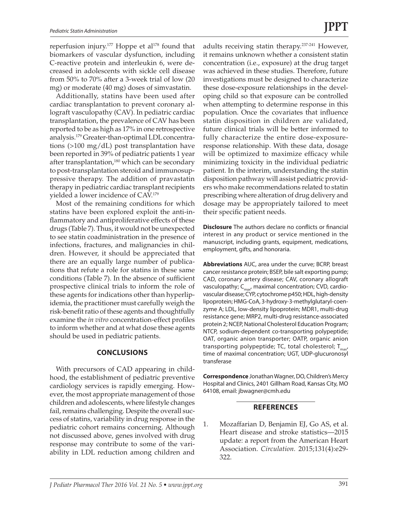reperfusion injury.<sup>177</sup> Hoppe et al<sup>178</sup> found that biomarkers of vascular dysfunction, including C-reactive protein and interleukin 6, were decreased in adolescents with sickle cell disease from 50% to 70% after a 3-week trial of low (20 mg) or moderate (40 mg) doses of simvastatin.

Additionally, statins have been used after cardiac transplantation to prevent coronary allograft vasculopathy (CAV). In pediatric cardiac transplantation, the prevalence of CAV has been reported to be as high as 17% in one retrospective analysis.179 Greater-than-optimal LDL concentrations (>100 mg/dL) post transplantation have been reported in 39% of pediatric patients 1 year after transplantation,<sup>180</sup> which can be secondary to post-transplantation steroid and immunosuppressive therapy. The addition of pravastatin therapy in pediatric cardiac transplant recipients yielded a lower incidence of CAV.179

Most of the remaining conditions for which statins have been explored exploit the anti-inflammatory and antiproliferative effects of these drugs (Table 7). Thus, it would not be unexpected to see statin coadministration in the presence of infections, fractures, and malignancies in children. However, it should be appreciated that there are an equally large number of publications that refute a role for statins in these same conditions (Table 7). In the absence of sufficient prospective clinical trials to inform the role of these agents for indications other than hyperlipidemia, the practitioner must carefully weigh the risk-benefit ratio of these agents and thoughtfully examine the *in vitro* concentration-effect profiles to inform whether and at what dose these agents should be used in pediatric patients.

#### **CONCLUSIONS**

With precursors of CAD appearing in childhood, the establishment of pediatric preventive cardiology services is rapidly emerging. However, the most appropriate management of those children and adolescents, where lifestyle changes fail, remains challenging. Despite the overall success of statins, variability in drug response in the pediatric cohort remains concerning. Although not discussed above, genes involved with drug response may contribute to some of the variability in LDL reduction among children and

adults receiving statin therapy.237-241 However, it remains unknown whether a consistent statin concentration (i.e., exposure) at the drug target was achieved in these studies. Therefore, future investigations must be designed to characterize these dose-exposure relationships in the developing child so that exposure can be controlled when attempting to determine response in this population. Once the covariates that influence statin disposition in children are validated, future clinical trials will be better informed to fully characterize the entire dose-exposureresponse relationship. With these data, dosage will be optimized to maximize efficacy while minimizing toxicity in the individual pediatric patient. In the interim, understanding the statin disposition pathway will assist pediatric providers who make recommendations related to statin prescribing where alteration of drug delivery and dosage may be appropriately tailored to meet their specific patient needs.

**Disclosure** The authors declare no conflicts or financial interest in any product or service mentioned in the manuscript, including grants, equipment, medications, employment, gifts, and honoraria.

**Abbreviations** AUC, area under the curve; BCRP, breast cancer resistance protein; BSEP, bile salt exporting pump; CAD, coronary artery disease; CAV, coronary allograft vasculopathy;  $C_{\text{max}}$ , maximal concentration; CVD, cardiovascular disease; CYP, cytochrome p450; HDL, high-density lipoprotein; HMG-CoA, 3-hydroxy-3-methylglutaryl-coenzyme A; LDL, low-density lipoprotein; MDR1, multi-drug resistance gene; MRP2, multi-drug resistance-associated protein 2; NCEP, National Cholesterol Education Program; NTCP, sodium-dependent co-transporting polypeptide; OAT, organic anion transporter; OATP, organic anion transporting polypeptide; TC, total cholesterol;  $T_{\text{max}}$ , time of maximal concentration; UGT, UDP-glucuronosyl transferase

**Correspondence** Jonathan Wagner, DO, Children's Mercy Hospital and Clinics, 2401 Gillham Road, Kansas City, MO 64108, email: jbwagner@cmh.edu

#### **REFERENCES**

1. Mozaffarian D, Benjamin EJ, Go AS, et al. Heart disease and stroke statistics—2015 update: a report from the American Heart Association. *Circulation.* 2015;131(4):e29- 322.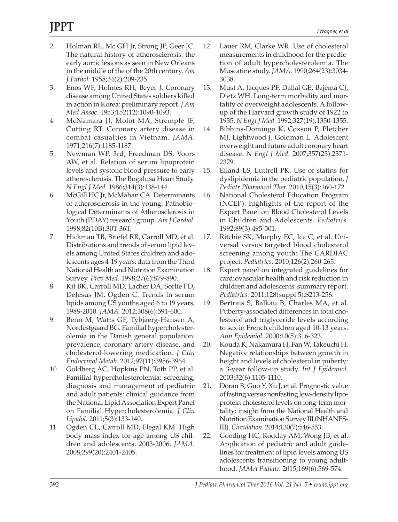- 2. Holman RL, Mc GH Jr, Strong JP, Geer JC. The natural history of atherosclerosis: the early aortic lesions as seen in New Orleans in the middle of the of the 20th century. *Am J Pathol.* 1958;34(2):209-235.
- 3. Enos WF, Holmes RH, Beyer J. Coronary disease among United States soldiers killed in action in Korea: preliminary report. *J Am Med Assoc.* 1953;152(12):1090-1093.
- 4. McNamara JJ, Molot MA, Stremple JF, Cutting RT. Coronary artery disease in combat casualties in Vietnam. *JAMA.* 1971;216(7):1185-1187.
- 5. Newman WP, 3rd, Freedman DS, Voors AW, et al. Relation of serum lipoprotein levels and systolic blood pressure to early atherosclerosis. The Bogalusa Heart Study. *N Engl J Med.* 1986;314(3):138-144.
- 6. McGill HC Jr, McMahan CA. Determinants of atherosclerosis in the young. Pathobiological Determinants of Atherosclerosis in Youth (PDAY) research group. *Am J Cardiol.* 1998;82(10B):30T-36T.
- 7. Hickman TB, Briefel RR, Carroll MD, et al. Distributions and trends of serum lipid levels among United States children and adolescents ages 4-19 years: data from the Third National Health and Nutrition Examination Survey. *Prev Med.* 1998;27(6):879-890.
- 8. Kit BK, Carroll MD, Lacher DA, Sorlie PD, DeJesus JM, Ogden C. Trends in serum lipids among US youths aged 6 to 19 years, 1988-2010. *JAMA.* 2012;308(6):591-600.
- 9. Benn M, Watts GF, Tybjaerg-Hansen A, Nordestgaard BG. Familial hypercholesterolemia in the Danish general population: prevalence, coronary artery disease, and cholesterol-lowering medication. *J Clin Endocrinol Metab.* 2012;97(11):3956-3964.
- 10. Goldberg AC, Hopkins PN, Toth PP, et al. Familial hypercholesterolemia: screening, diagnosis and management of pediatric and adult patients: clinical guidance from the National Lipid Association Expert Panel on Familial Hypercholesterolemia. *J Clin Lipidol.* 2011;5(3):133-140.
- 11. Ogden CL, Carroll MD, Flegal KM. High body mass index for age among US children and adolescents, 2003-2006. *JAMA.* 2008;299(20):2401-2405.
- 12. Lauer RM, Clarke WR. Use of cholesterol measurements in childhood for the prediction of adult hypercholesterolemia. The Muscatine study. *JAMA.* 1990;264(23):3034- 3038.
- 13. Must A, Jacques PF, Dallal GE, Bajema CJ, Dietz WH. Long-term morbidity and mortality of overweight adolescents. A followup of the Harvard growth study of 1922 to 1935. *N Engl J Med.* 1992;327(19):1350-1355.
- 14. Bibbins-Domingo K, Coxson P, Pletcher MJ, Lightwood J, Goldman L. Adolescent overweight and future adult coronary heart disease. *N Engl J Med.* 2007;357(23):2371- 2379.
- 15. Eiland LS, Luttrell PK. Use of statins for dyslipidemia in the pediatric population. *J Pediatr Pharmacol Ther.* 2010;15(3):160-172.
- 16. National Cholesterol Education Program (NCEP): highlights of the report of the Expert Panel on Blood Cholesterol Levels in Children and Adolescents. *Pediatrics.* 1992;89(3):495-501.
- 17. Ritchie SK, Murphy EC, Ice C, et al. Universal versus targeted blood cholesterol screening among youth: The CARDIAC project. *Pediatrics.* 2010;126(2):260-265.
- 18. Expert panel on integrated guidelines for cardiovascular health and risk reduction in children and adolescents: summary report. *Pediatrics.* 2011;128(suppl 5):S213-256.
- 19. Bertrais S, Balkau B, Charles MA, et al. Puberty-associated differences in total cholesterol and triglyceride levels according to sex in French children aged 10-13 years. *Ann Epidemiol.* 2000;10(5):316-323.
- 20. Kouda K, Nakamura H, Fan W, Takeuchi H. Negative relationships between growth in height and levels of cholesterol in puberty: a 3-year follow-up study. *Int J Epidemiol.* 2003;32(6):1105-1110.
- 21. Doran B, Guo Y, Xu J, et al. Prognostic value of fasting versus nonfasting low-density lipoprotein cholesterol levels on long-term mortality: insight from the National Health and Nutrition Examination Survey III (NHANES-III). *Circulation.* 2014;130(7):546-553.
- 22. Gooding HC, Rodday AM, Wong JB, et al. Application of pediatric and adult guidelines for treatment of lipid levels among US adolescents transitioning to young adulthood. *JAMA Pediatr.* 2015;169(6):569-574.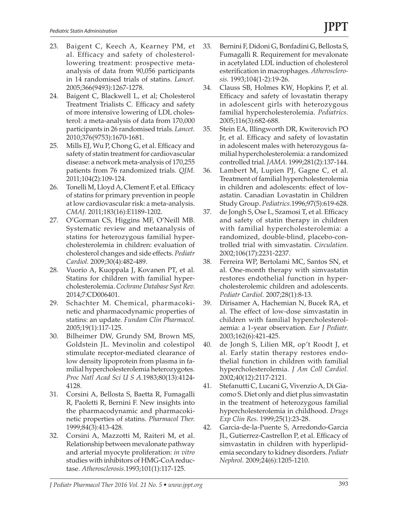- 23. Baigent C, Keech A, Kearney PM, et al. Efficacy and safety of cholesterollowering treatment: prospective metaanalysis of data from 90,056 participants in 14 randomised trials of statins. *Lancet.* 2005;366(9493):1267-1278.
- 24. Baigent C, Blackwell L, et al; Cholesterol Treatment Trialists C. Efficacy and safety of more intensive lowering of LDL cholesterol: a meta-analysis of data from 170,000 participants in 26 randomised trials. *Lancet.* 2010;376(9753):1670-1681.
- 25. Mills EJ, Wu P, Chong G, et al. Efficacy and safety of statin treatment for cardiovascular disease: a network meta-analysis of 170,255 patients from 76 randomized trials. *QJM.* 2011;104(2):109-124.
- 26. Tonelli M, Lloyd A, Clement F, et al. Efficacy of statins for primary prevention in people at low cardiovascular risk: a meta-analysis. *CMAJ.* 2011;183(16):E1189-1202.
- 27. O'Gorman CS, Higgins MF, O'Neill MB. Systematic review and metaanalysis of statins for heterozygous familial hypercholesterolemia in children: evaluation of cholesterol changes and side effects. *Pediatr Cardiol.* 2009;30(4):482-489.
- 28. Vuorio A, Kuoppala J, Kovanen PT, et al. Statins for children with familial hypercholesterolemia. *Cochrane Database Syst Rev.* 2014;7:CD006401.
- 29. Schachter M. Chemical, pharmacokinetic and pharmacodynamic properties of statins: an update. *Fundam Clin Pharmacol.* 2005;19(1):117-125.
- 30. Bilheimer DW, Grundy SM, Brown MS, Goldstein JL. Mevinolin and colestipol stimulate receptor-mediated clearance of low density lipoprotein from plasma in familial hypercholesterolemia heterozygotes. *Proc Natl Acad Sci U S A.*1983;80(13):4124- 4128.
- 31. Corsini A, Bellosta S, Baetta R, Fumagalli R, Paoletti R, Bernini F. New insights into the pharmacodynamic and pharmacokinetic properties of statins. *Pharmacol Ther.* 1999;84(3):413-428.
- 32. Corsini A, Mazzotti M, Raiteri M, et al. Relationship between mevalonate pathway and arterial myocyte proliferation: *in vitro* studies with inhibitors of HMG-CoA reductase. *Atherosclerosis.*1993;101(1):117-125.
- 33. Bernini F, Didoni G, Bonfadini G, Bellosta S, Fumagalli R. Requirement for mevalonate in acetylated LDL induction of cholesterol esterification in macrophages. *Atherosclerosis.* 1993;104(1-2):19-26.
- 34. Clauss SB, Holmes KW, Hopkins P, et al. Efficacy and safety of lovastatin therapy in adolescent girls with heterozygous familial hypercholesterolemia. *Pediatrics.* 2005;116(3):682-688.
- 35. Stein EA, Illingworth DR, Kwiterovich PO Jr, et al. Efficacy and safety of lovastatin in adolescent males with heterozygous familial hypercholesterolemia: a randomized controlled trial. *JAMA.* 1999;281(2):137-144.
- 36. Lambert M, Lupien PJ, Gagne C, et al. Treatment of familial hypercholesterolemia in children and adolescents: effect of lovastatin. Canadian Lovastatin in Children Study Group. *Pediatrics.*1996;97(5):619-628.
- 37. de Jongh S, Ose L, Szamosi T, et al. Efficacy and safety of statin therapy in children with familial hypercholesterolemia: a randomized, double-blind, placebo-controlled trial with simvastatin. *Circulation.* 2002;106(17):2231-2237.
- 38. Ferreira WP, Bertolami MC, Santos SN, et al. One-month therapy with simvastatin restores endothelial function in hypercholesterolemic children and adolescents. *Pediatr Cardiol.* 2007;28(1):8-13.
- 39. Dirisamer A, Hachemian N, Bucek RA, et al. The effect of low-dose simvastatin in children with familial hypercholesterolaemia: a 1-year observation. *Eur J Pediatr.* 2003;162(6):421-425.
- 40. de Jongh S, Lilien MR, op't Roodt J, et al. Early statin therapy restores endothelial function in children with familial hypercholesterolemia. *J Am Coll Cardiol.* 2002;40(12):2117-2121.
- 41. Stefanutti C, Lucani G, Vivenzio A, Di Giacomo S. Diet only and diet plus simvastatin in the treatment of heterozygous familial hypercholesterolemia in childhood. *Drugs Exp Clin Res.* 1999;25(1):23-28.
- 42. Garcia-de-la-Puente S, Arredondo-Garcia JL, Gutierrez-Castrellon P, et al. Efficacy of simvastatin in children with hyperlipidemia secondary to kidney disorders. *Pediatr Nephrol.* 2009;24(6):1205-1210.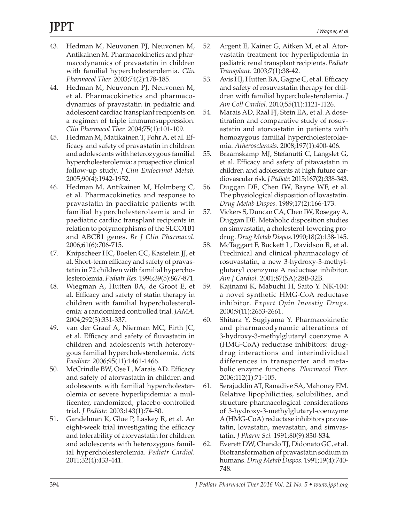- 43. Hedman M, Neuvonen PJ, Neuvonen M, Antikainen M. Pharmacokinetics and pharmacodynamics of pravastatin in children with familial hypercholesterolemia. *Clin Pharmacol Ther.* 2003;74(2):178-185.
- 44. Hedman M, Neuvonen PJ, Neuvonen M, et al. Pharmacokinetics and pharmacodynamics of pravastatin in pediatric and adolescent cardiac transplant recipients on a regimen of triple immunosuppression. *Clin Pharmacol Ther.* 2004;75(1):101-109.
- 45. Hedman M, Matikainen T, Fohr A, et al. Efficacy and safety of pravastatin in children and adolescents with heterozygous familial hypercholesterolemia: a prospective clinical follow-up study. *J Clin Endocrinol Metab.* 2005;90(4):1942-1952.
- 46. Hedman M, Antikainen M, Holmberg C, et al. Pharmacokinetics and response to pravastatin in paediatric patients with familial hypercholesterolaemia and in paediatric cardiac transplant recipients in relation to polymorphisms of the SLCO1B1 and ABCB1 genes. *Br J Clin Pharmacol.* 2006;61(6):706-715.
- 47. Knipscheer HC, Boelen CC, Kastelein JJ, et al. Short-term efficacy and safety of pravastatin in 72 children with familial hypercholesterolemia. *Pediatr Res.* 1996;39(5):867-871.
- 48. Wiegman A, Hutten BA, de Groot E, et al. Efficacy and safety of statin therapy in children with familial hypercholesterolemia: a randomized controlled trial. *JAMA.* 2004;292(3):331-337.
- 49. van der Graaf A, Nierman MC, Firth JC, et al. Efficacy and safety of fluvastatin in children and adolescents with heterozygous familial hypercholesterolaemia. *Acta Paediatr.* 2006;95(11):1461-1466.
- 50. McCrindle BW, Ose L, Marais AD. Efficacy and safety of atorvastatin in children and adolescents with familial hypercholesterolemia or severe hyperlipidemia: a multicenter, randomized, placebo-controlled trial. *J Pediatr.* 2003;143(1):74-80.
- 51. Gandelman K, Glue P, Laskey R, et al. An eight-week trial investigating the efficacy and tolerability of atorvastatin for children and adolescents with heterozygous familial hypercholesterolemia. *Pediatr Cardiol.* 2011;32(4):433-441.
- 52. Argent E, Kainer G, Aitken M, et al. Atorvastatin treatment for hyperlipidemia in pediatric renal transplant recipients. *Pediatr Transplant.* 2003;7(1):38-42.
- 53. Avis HJ, Hutten BA, Gagne C, et al. Efficacy and safety of rosuvastatin therapy for children with familial hypercholesterolemia. *J Am Coll Cardiol.* 2010;55(11):1121-1126.
- 54. Marais AD, Raal FJ, Stein EA, et al. A dosetitration and comparative study of rosuvastatin and atorvastatin in patients with homozygous familial hypercholesterolaemia. *Atherosclerosis.* 2008;197(1):400-406.
- 55. Braamskamp MJ, Stefanutti C, Langslet G, et al. Efficacy and safety of pitavastatin in children and adolescents at high future cardiovascular risk. *J Pediatr.* 2015;167(2):338-343.
- 56. Duggan DE, Chen IW, Bayne WF, et al. The physiological disposition of lovastatin. *Drug Metab Dispos.* 1989;17(2):166-173.
- 57. Vickers S, Duncan CA, Chen IW, Rosegay A, Duggan DE. Metabolic disposition studies on simvastatin, a cholesterol-lowering prodrug. *Drug Metab Dispos.*1990;18(2):138-145.
- 58. McTaggart F, Buckett L, Davidson R, et al. Preclinical and clinical pharmacology of rosuvastatin, a new 3-hydroxy-3-methylglutaryl coenzyme A reductase inhibitor. *Am J Cardiol.* 2001;87(5A):28B-32B.
- 59. Kajinami K, Mabuchi H, Saito Y. NK-104: a novel synthetic HMG-CoA reductase inhibitor. *Expert Opin Investig Drugs.* 2000;9(11):2653-2661.
- 60. Shitara Y, Sugiyama Y. Pharmacokinetic and pharmacodynamic alterations of 3-hydroxy-3-methylglutaryl coenzyme A (HMG-CoA) reductase inhibitors: drugdrug interactions and interindividual differences in transporter and metabolic enzyme functions. *Pharmacol Ther.* 2006;112(1):71-105.
- 61. Serajuddin AT, Ranadive SA, Mahoney EM. Relative lipophilicities, solubilities, and structure-pharmacological considerations of 3-hydroxy-3-methylglutaryl-coenzyme A (HMG-CoA) reductase inhibitors pravastatin, lovastatin, mevastatin, and simvastatin. *J Pharm Sci.* 1991;80(9):830-834.
- 62. Everett DW, Chando TJ, Didonato GC, et al. Biotransformation of pravastatin sodium in humans. *Drug Metab Dispos.* 1991;19(4):740- 748.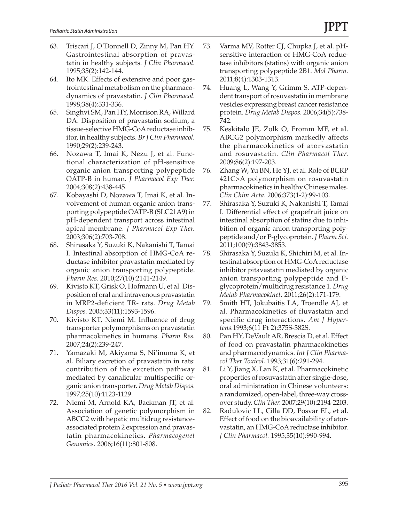- 63. Triscari J, O'Donnell D, Zinny M, Pan HY. Gastrointestinal absorption of pravastatin in healthy subjects. *J Clin Pharmacol.* 1995;35(2):142-144.
- 64. Ito MK. Effects of extensive and poor gastrointestinal metabolism on the pharmacodynamics of pravastatin. *J Clin Pharmacol.* 1998;38(4):331-336.
- 65. Singhvi SM, Pan HY, Morrison RA, Willard DA. Disposition of pravastatin sodium, a tissue-selective HMG-CoA reductase inhibitor, in healthy subjects. *Br J Clin Pharmacol.* 1990;29(2):239-243.
- 66. Nozawa T, Imai K, Nezu J, et al. Functional characterization of pH-sensitive organic anion transporting polypeptide OATP-B in human. *J Pharmacol Exp Ther.* 2004;308(2):438-445.
- 67. Kobayashi D, Nozawa T, Imai K, et al. Involvement of human organic anion transporting polypeptide OATP-B (SLC21A9) in pH-dependent transport across intestinal apical membrane. *J Pharmacol Exp Ther.* 2003;306(2):703-708.
- 68. Shirasaka Y, Suzuki K, Nakanishi T, Tamai I. Intestinal absorption of HMG-CoA reductase inhibitor pravastatin mediated by organic anion transporting polypeptide. *Pharm Res.* 2010;27(10):2141-2149.
- 69. Kivisto KT, Grisk O, Hofmann U, et al. Disposition of oral and intravenous pravastatin in MRP2-deficient TR- rats. *Drug Metab Dispos.* 2005;33(11):1593-1596.
- 70. Kivisto KT, Niemi M. Influence of drug transporter polymorphisms on pravastatin pharmacokinetics in humans. *Pharm Res.* 2007;24(2):239-247.
- 71. Yamazaki M, Akiyama S, Ni'inuma K, et al. Biliary excretion of pravastatin in rats: contribution of the excretion pathway mediated by canalicular multispecific organic anion transporter. *Drug Metab Dispos.* 1997;25(10):1123-1129.
- 72. Niemi M, Arnold KA, Backman JT, et al. Association of genetic polymorphism in ABCC2 with hepatic multidrug resistanceassociated protein 2 expression and pravastatin pharmacokinetics. *Pharmacogenet Genomics.* 2006;16(11):801-808.
- 73. Varma MV, Rotter CJ, Chupka J, et al. pHsensitive interaction of HMG-CoA reductase inhibitors (statins) with organic anion transporting polypeptide 2B1. *Mol Pharm.* 2011;8(4):1303-1313.
- 74. Huang L, Wang Y, Grimm S. ATP-dependent transport of rosuvastatin in membrane vesicles expressing breast cancer resistance protein. *Drug Metab Dispos.* 2006;34(5):738- 742.
- 75. Keskitalo JE, Zolk O, Fromm MF, et al. ABCG2 polymorphism markedly affects the pharmacokinetics of atorvastatin and rosuvastatin. *Clin Pharmacol Ther.* 2009;86(2):197-203.
- 76. Zhang W, Yu BN, He YJ, et al. Role of BCRP 421C>A polymorphism on rosuvastatin pharmacokinetics in healthy Chinese males. *Clin Chim Acta.* 2006;373(1-2):99-103.
- 77. Shirasaka Y, Suzuki K, Nakanishi T, Tamai I. Differential effect of grapefruit juice on intestinal absorption of statins due to inhibition of organic anion transporting polypeptide and/or P-glycoprotein. *J Pharm Sci.* 2011;100(9):3843-3853.
- 78. Shirasaka Y, Suzuki K, Shichiri M, et al. Intestinal absorption of HMG-CoA reductase inhibitor pitavastatin mediated by organic anion transporting polypeptide and Pglycoprotein/multidrug resistance 1. *Drug Metab Pharmacokinet.* 2011;26(2):171-179.
- 79. Smith HT, Jokubaitis LA, Troendle AJ, et al. Pharmacokinetics of fluvastatin and specific drug interactions. *Am J Hypertens.*1993;6(11 Pt 2):375S-382S.
- 80. Pan HY, DeVault AR, Brescia D, et al. Effect of food on pravastatin pharmacokinetics and pharmacodynamics. *Int J Clin Pharmacol Ther Toxicol.* 1993;31(6):291-294.
- 81. Li Y, Jiang X, Lan K, et al. Pharmacokinetic properties of rosuvastatin after single-dose, oral administration in Chinese volunteers: a randomized, open-label, three-way crossover study. *Clin Ther.* 2007;29(10):2194-2203.
- 82. Radulovic LL, Cilla DD, Posvar EL, et al. Effect of food on the bioavailability of atorvastatin, an HMG-CoA reductase inhibitor. *J Clin Pharmacol.* 1995;35(10):990-994.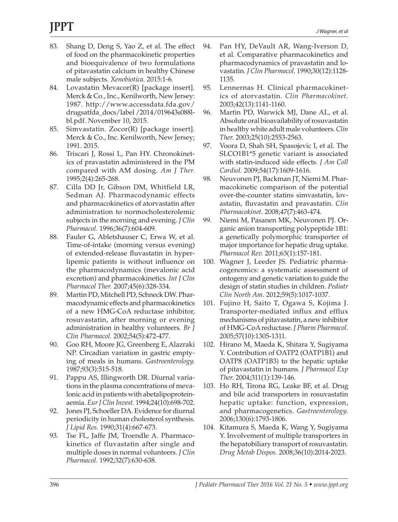# **JPPT**

- 83. Shang D, Deng S, Yao Z, et al. The effect of food on the pharmacokinetic properties and bioequivalence of two formulations of pitavastatin calcium in healthy Chinese male subjects. *Xenobiotica.* 2015:1-6.
- 84. Lovastatin Mevacor(R) [package insert]. Merck & Co., Inc., Kenilworth, New Jersey: 1987. http://www.accessdata.fda.gov/ drugsatfda\_docs/label /2014/019643s088lbl.pdf. November 10, 2015.
- 85. Simvastatin. Zocor(R) [package insert]. Merck & Co., Inc. Kenilworth, New Jersey; 1991. 2015.
- 86. Triscari J, Rossi L, Pan HY. Chronokinetics of pravastatin administered in the PM compared with AM dosing. *Am J Ther.* 1995;2(4):265-268.
- 87. Cilla DD Jr, Gibson DM, Whitfield LR, Sedman AJ. Pharmacodynamic effects and pharmacokinetics of atorvastatin after administration to normocholesterolemic subjects in the morning and evening. *J Clin Pharmacol.* 1996;36(7):604-609.
- 88. Fauler G, Abletshauser C, Erwa W, et al. Time-of-intake (morning versus evening) of extended-release fluvastatin in hyperlipemic patients is without influence on the pharmacodynamics (mevalonic acid excretion) and pharmacokinetics. *Int J Clin Pharmacol Ther.* 2007;45(6):328-334.
- 89. Martin PD, Mitchell PD, Schneck DW. Pharmacodynamic effects and pharmacokinetics of a new HMG-CoA reductase inhibitor, rosuvastatin, after morning or evening administration in healthy volunteers. *Br J Clin Pharmacol.* 2002;54(5):472-477.
- 90. Goo RH, Moore JG, Greenberg E, Alazraki NP. Circadian variation in gastric emptying of meals in humans. *Gastroenterology.* 1987;93(3):515-518.
- 91. Pappu AS, Illingworth DR. Diurnal variations in the plasma concentrations of mevalonic acid in patients with abetalipoproteinaemia. *Eur J Clin Invest.* 1994;24(10):698-702.
- 92. Jones PJ, Schoeller DA. Evidence for diurnal periodicity in human cholesterol synthesis. *J Lipid Res.* 1990;31(4):667-673.
- 93. Tse FL, Jaffe JM, Troendle A. Pharmacokinetics of fluvastatin after single and multiple doses in normal volunteers. *J Clin Pharmacol.* 1992;32(7):630-638.
- 94. Pan HY, DeVault AR, Wang-Iverson D, et al. Comparative pharmacokinetics and pharmacodynamics of pravastatin and lovastatin. *J Clin Pharmacol.* 1990;30(12):1128- 1135.
- 95. Lennernas H. Clinical pharmacokinetics of atorvastatin. *Clin Pharmacokinet.* 2003;42(13):1141-1160.
- 96. Martin PD, Warwick MJ, Dane AL, et al. Absolute oral bioavailability of rosuvastatin in healthy white adult male volunteers. *Clin Ther.* 2003;25(10):2553-2563.
- 97. Voora D, Shah SH, Spasojevic I, et al. The SLCO1B1\*5 genetic variant is associated with statin-induced side effects. *J Am Coll Cardiol.* 2009;54(17):1609-1616.
- 98. Neuvonen PJ, Backman JT, Niemi M. Pharmacokinetic comparison of the potential over-the-counter statins simvastatin, lovastatin, fluvastatin and pravastatin. *Clin Pharmacokinet.* 2008;47(7):463-474.
- 99. Niemi M, Pasanen MK, Neuvonen PJ. Organic anion transporting polypeptide 1B1: a genetically polymorphic transporter of major importance for hepatic drug uptake. *Pharmacol Rev.* 2011;63(1):157-181.
- 100. Wagner J, Leeder JS. Pediatric pharmacogenomics: a systematic assessment of ontogeny and genetic variation to guide the design of statin studies in children. *Pediatr Clin North Am.* 2012;59(5):1017-1037.
- 101. Fujino H, Saito T, Ogawa S, Kojima J. Transporter-mediated influx and efflux mechanisms of pitavastatin, a new inhibitor of HMG-CoA reductase. *J Pharm Pharmacol.* 2005;57(10):1305-1311.
- 102. Hirano M, Maeda K, Shitara Y, Sugiyama Y. Contribution of OATP2 (OATP1B1) and OATP8 (OATP1B3) to the hepatic uptake of pitavastatin in humans. *J Pharmacol Exp Ther.* 2004;311(1):139-146.
- 103. Ho RH, Tirona RG, Leake BF, et al. Drug and bile acid transporters in rosuvastatin hepatic uptake: function, expression, and pharmacogenetics. *Gastroenterology.* 2006;130(6):1793-1806.
- 104. Kitamura S, Maeda K, Wang Y, Sugiyama Y. Involvement of multiple transporters in the hepatobiliary transport of rosuvastatin. *Drug Metab Dispos.* 2008;36(10):2014-2023.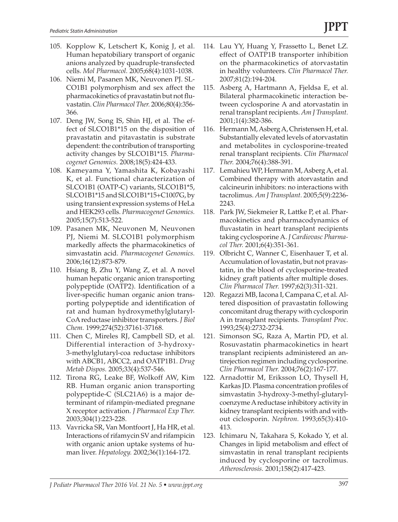- 105. Kopplow K, Letschert K, Konig J, et al. Human hepatobiliary transport of organic anions analyzed by quadruple-transfected cells. *Mol Pharmacol.* 2005;68(4):1031-1038.
- 106. Niemi M, Pasanen MK, Neuvonen PJ. SL-CO1B1 polymorphism and sex affect the pharmacokinetics of pravastatin but not fluvastatin. *Clin Pharmacol Ther.* 2006;80(4):356- 366.
- 107. Deng JW, Song IS, Shin HJ, et al. The effect of SLCO1B1\*15 on the disposition of pravastatin and pitavastatin is substrate dependent: the contribution of transporting activity changes by SLCO1B1\*15. *Pharmacogenet Genomics.* 2008;18(5):424-433.
- 108. Kameyama Y, Yamashita K, Kobayashi K, et al. Functional characterization of SLCO1B1 (OATP-C) variants, SLCO1B1\*5, SLCO1B1\*15 and SLCO1B1\*15+C1007G, by using transient expression systems of HeLa and HEK293 cells. *Pharmacogenet Genomics.* 2005;15(7):513-522.
- 109. Pasanen MK, Neuvonen M, Neuvonen PJ, Niemi M. SLCO1B1 polymorphism markedly affects the pharmacokinetics of simvastatin acid. *Pharmacogenet Genomics.* 2006;16(12):873-879.
- 110. Hsiang B, Zhu Y, Wang Z, et al. A novel human hepatic organic anion transporting polypeptide (OATP2). Identification of a liver-specific human organic anion transporting polypeptide and identification of rat and human hydroxymethylglutaryl-CoA reductase inhibitor transporters. *J Biol Chem.* 1999;274(52):37161-37168.
- 111. Chen C, Mireles RJ, Campbell SD, et al. Differential interaction of 3-hydroxy-3-methylglutaryl-coa reductase inhibitors with ABCB1, ABCC2, and OATP1B1. *Drug Metab Dispos.* 2005;33(4):537-546.
- 112. Tirona RG, Leake BF, Wolkoff AW, Kim RB. Human organic anion transporting polypeptide-C (SLC21A6) is a major determinant of rifampin-mediated pregnane X receptor activation. *J Pharmacol Exp Ther.* 2003;304(1):223-228.
- 113. Vavricka SR, Van Montfoort J, Ha HR, et al. Interactions of rifamycin SV and rifampicin with organic anion uptake systems of human liver. *Hepatology.* 2002;36(1):164-172.
- 114. Lau YY, Huang Y, Frassetto L, Benet LZ. effect of OATP1B transporter inhibition on the pharmacokinetics of atorvastatin in healthy volunteers. *Clin Pharmacol Ther.* 2007;81(2):194-204.
- 115. Asberg A, Hartmann A, Fjeldsa E, et al. Bilateral pharmacokinetic interaction between cyclosporine A and atorvastatin in renal transplant recipients. *Am J Transplant.* 2001;1(4):382-386.
- 116. Hermann M, Asberg A, Christensen H, et al. Substantially elevated levels of atorvastatin and metabolites in cyclosporine-treated renal transplant recipients. *Clin Pharmacol Ther.* 2004;76(4):388-391.
- 117. Lemahieu WP, Hermann M, Asberg A, et al. Combined therapy with atorvastatin and calcineurin inhibitors: no interactions with tacrolimus. *Am J Transplant.* 2005;5(9):2236- 2243.
- 118. Park JW, Siekmeier R, Lattke P, et al. Pharmacokinetics and pharmacodynamics of fluvastatin in heart transplant recipients taking cyclosporine A. *J Cardiovasc Pharmacol Ther.* 2001;6(4):351-361.
- 119. Olbricht C, Wanner C, Eisenhauer T, et al. Accumulation of lovastatin, but not pravastatin, in the blood of cyclosporine-treated kidney graft patients after multiple doses. *Clin Pharmacol Ther.* 1997;62(3):311-321.
- 120. Regazzi MB, Iacona I, Campana C, et al. Altered disposition of pravastatin following concomitant drug therapy with cyclosporin A in transplant recipients. *Transplant Proc.* 1993;25(4):2732-2734.
- 121. Simonson SG, Raza A, Martin PD, et al. Rosuvastatin pharmacokinetics in heart transplant recipients administered an antirejection regimen including cyclosporine. *Clin Pharmacol Ther.* 2004;76(2):167-177.
- 122. Arnadottir M, Eriksson LO, Thysell H, Karkas JD. Plasma concentration profiles of simvastatin 3-hydroxy-3-methyl-glutarylcoenzyme A reductase inhibitory activity in kidney transplant recipients with and without ciclosporin. *Nephron.* 1993;65(3):410- 413.
- 123. Ichimaru N, Takahara S, Kokado Y, et al. Changes in lipid metabolism and effect of simvastatin in renal transplant recipients induced by cyclosporine or tacrolimus. *Atherosclerosis.* 2001;158(2):417-423.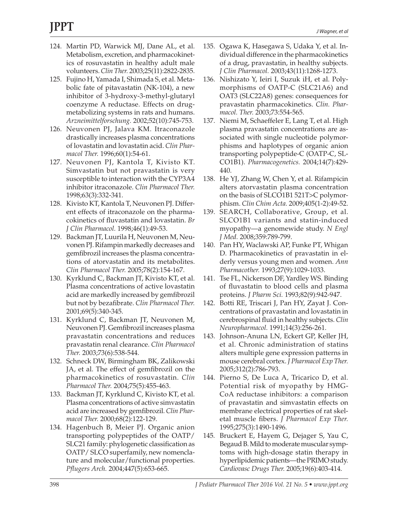# **JPPT**

- 124. Martin PD, Warwick MJ, Dane AL, et al. Metabolism, excretion, and pharmacokinetics of rosuvastatin in healthy adult male volunteers. *Clin Ther.* 2003;25(11):2822-2835.
- 125. Fujino H, Yamada I, Shimada S, et al. Metabolic fate of pitavastatin (NK-104), a new inhibitor of 3-hydroxy-3-methyl-glutaryl coenzyme A reductase. Effects on drugmetabolizing systems in rats and humans. *Arzneimittelforschung.* 2002;52(10):745-753.
- 126. Neuvonen PJ, Jalava KM. Itraconazole drastically increases plasma concentrations of lovastatin and lovastatin acid. *Clin Pharmacol Ther.* 1996;60(1):54-61.
- 127. Neuvonen PJ, Kantola T, Kivisto KT. Simvastatin but not pravastatin is very susceptible to interaction with the CYP3A4 inhibitor itraconazole. *Clin Pharmacol Ther.* 1998;63(3):332-341.
- 128. Kivisto KT, Kantola T, Neuvonen PJ. Different effects of itraconazole on the pharmacokinetics of fluvastatin and lovastatin. *Br J Clin Pharmacol.* 1998;46(1):49-53.
- 129. Backman JT, Luurila H, Neuvonen M, Neuvonen PJ. Rifampin markedly decreases and gemfibrozil increases the plasma concentrations of atorvastatin and its metabolites. *Clin Pharmacol Ther.* 2005;78(2):154-167.
- 130. Kyrklund C, Backman JT, Kivisto KT, et al. Plasma concentrations of active lovastatin acid are markedly increased by gemfibrozil but not by bezafibrate. *Clin Pharmacol Ther.* 2001;69(5):340-345.
- 131. Kyrklund C, Backman JT, Neuvonen M, Neuvonen PJ. Gemfibrozil increases plasma pravastatin concentrations and reduces pravastatin renal clearance. *Clin Pharmacol Ther.* 2003;73(6):538-544.
- 132. Schneck DW, Birmingham BK, Zalikowski JA, et al. The effect of gemfibrozil on the pharmacokinetics of rosuvastatin. *Clin Pharmacol Ther.* 2004;75(5):455-463.
- 133. Backman JT, Kyrklund C, Kivisto KT, et al. Plasma concentrations of active simvastatin acid are increased by gemfibrozil. *Clin Pharmacol Ther.* 2000;68(2):122-129.
- 134. Hagenbuch B, Meier PJ. Organic anion transporting polypeptides of the OATP/ SLC21 family: phylogenetic classification as OATP/ SLCO superfamily, new nomenclature and molecular/functional properties. *Pflugers Arch.* 2004;447(5):653-665.
- 135. Ogawa K, Hasegawa S, Udaka Y, et al. Individual difference in the pharmacokinetics of a drug, pravastatin, in healthy subjects. *J Clin Pharmacol.* 2003;43(11):1268-1273.
- 136. Nishizato Y, Ieiri I, Suzuk iH, et al. Polymorphisms of OATP-C (SLC21A6) and OAT3 (SLC22A8) genes: consequences for pravastatin pharmacokinetics. *Clin. Pharmacol. Ther.* 2003;73:554-565.
- 137. Niemi M, Schaeffeler E, Lang T, et al. High plasma pravastatin concentrations are associated with single nucleotide polymorphisms and haplotypes of organic anion transporting polypeptide-C (OATP-C, SL-CO1B1). *Pharmacogenetics.* 2004;14(7):429- 440.
- 138. He YJ, Zhang W, Chen Y, et al. Rifampicin alters atorvastatin plasma concentration on the basis of SLCO1B1 521T>C polymorphism. *Clin Chim Acta.* 2009;405(1-2):49-52.
- 139. SEARCH, Collaborative, Group, et al. SLCO1B1 variants and statin-induced myopathy—a genomewide study. *N Engl J Med.* 2008;359:789-799.
- 140. Pan HY, Waclawski AP, Funke PT, Whigan D. Pharmacokinetics of pravastatin in elderly versus young men and women. *Ann Pharmacother.* 1993;27(9):1029-1033.
- 141. Tse FL, Nickerson DF, Yardley WS. Binding of fluvastatin to blood cells and plasma proteins. *J Pharm Sci.* 1993;82(9):942-947.
- 142. Botti RE, Triscari J, Pan HY, Zayat J. Concentrations of pravastatin and lovastatin in cerebrospinal fluid in healthy subjects. *Clin Neuropharmacol.* 1991;14(3):256-261.
- 143. Johnson-Anuna LN, Eckert GP, Keller JH, et al. Chronic administration of statins alters multiple gene expression patterns in mouse cerebral cortex. *J Pharmacol Exp Ther.* 2005;312(2):786-793.
- 144. Pierno S, De Luca A, Tricarico D, et al. Potential risk of myopathy by HMG-CoA reductase inhibitors: a comparison of pravastatin and simvastatin effects on membrane electrical properties of rat skeletal muscle fibers. *J Pharmacol Exp Ther.* 1995;275(3):1490-1496.
- 145. Bruckert E, Hayem G, Dejager S, Yau C, Begaud B. Mild to moderate muscular symptoms with high-dosage statin therapy in hyperlipidemic patients—the PRIMO study. *Cardiovasc Drugs Ther.* 2005;19(6):403-414.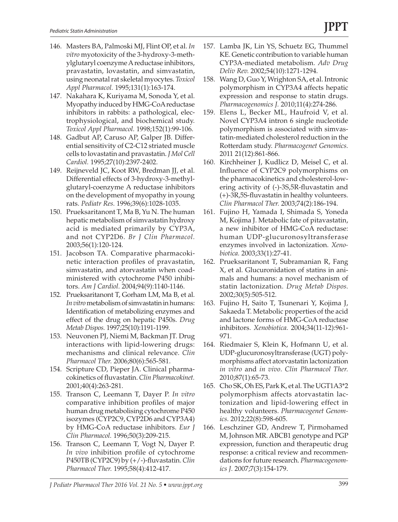- 146. Masters BA, Palmoski MJ, Flint OP, et al. *In vitro* myotoxicity of the 3-hydroxy-3-methylglutaryl coenzyme A reductase inhibitors, pravastatin, lovastatin, and simvastatin, using neonatal rat skeletal myocytes. *Toxicol Appl Pharmacol.* 1995;131(1):163-174.
- 147. Nakahara K, Kuriyama M, Sonoda Y, et al. Myopathy induced by HMG-CoA reductase inhibitors in rabbits: a pathological, electrophysiological, and biochemical study. *Toxicol Appl Pharmacol.* 1998;152(1):99-106.
- 148. Gadbut AP, Caruso AP, Galper JB. Differential sensitivity of C2-C12 striated muscle cells to lovastatin and pravastatin. *J Mol Cell Cardiol.* 1995;27(10):2397-2402.
- 149. Reijneveld JC, Koot RW, Bredman JJ, et al. Differential effects of 3-hydroxy-3-methylglutaryl-coenzyme A reductase inhibitors on the development of myopathy in young rats. *Pediatr Res.* 1996;39(6):1028-1035.
- 150. Prueksaritanont T, Ma B, Yu N. The human hepatic metabolism of simvastatin hydroxy acid is mediated primarily by CYP3A, and not CYP2D6. *Br J Clin Pharmacol.* 2003;56(1):120-124.
- 151. Jacobson TA. Comparative pharmacokinetic interaction profiles of pravastatin, simvastatin, and atorvastatin when coadministered with cytochrome P450 inhibitors. *Am J Cardiol.* 2004;94(9):1140-1146.
- 152. Prueksaritanont T, Gorham LM, Ma B, et al. *In vitro* metabolism of simvastatin in humans: Identification of metabolizing enzymes and effect of the drug on hepatic P450s. *Drug Metab Dispos.* 1997;25(10):1191-1199.
- 153. Neuvonen PJ, Niemi M, Backman JT. Drug interactions with lipid-lowering drugs: mechanisms and clinical relevance. *Clin Pharmacol Ther.* 2006;80(6):565-581.
- 154. Scripture CD, Pieper JA. Clinical pharmacokinetics of fluvastatin. *Clin Pharmacokinet.* 2001;40(4):263-281.
- 155. Transon C, Leemann T, Dayer P. *In vitro* comparative inhibition profiles of major human drug metabolising cytochrome P450 isozymes (CYP2C9, CYP2D6 and CYP3A4) by HMG-CoA reductase inhibitors. *Eur J Clin Pharmacol.* 1996;50(3):209-215.
- 156. Transon C, Leemann T, Vogt N, Dayer P. *In vivo* inhibition profile of cytochrome P450TB (CYP2C9) by (+/-)-fluvastatin. *Clin Pharmacol Ther.* 1995;58(4):412-417.
- 157. Lamba JK, Lin YS, Schuetz EG, Thummel KE. Genetic contribution to variable human CYP3A-mediated metabolism. *Adv Drug Deliv Rev.* 2002;54(10):1271-1294.
- 158. Wang D, Guo Y, Wrighton SA, et al. Intronic polymorphism in CYP3A4 affects hepatic expression and response to statin drugs. *Pharmacogenomics J.* 2010;11(4):274-286.
- 159. Elens L, Becker ML, Haufroid V, et al. Novel CYP3A4 intron 6 single nucleotide polymorphism is associated with simvastatin-mediated cholesterol reduction in the Rotterdam study. *Pharmacogenet Genomics.* 2011 21(12):861-866.
- 160. Kirchheiner J, Kudlicz D, Meisel C, et al. Influence of CYP2C9 polymorphisms on the pharmacokinetics and cholesterol-lowering activity of (-)-3S,5R-fluvastatin and (+)-3R,5S-fluvastatin in healthy volunteers. *Clin Pharmacol Ther.* 2003;74(2):186-194.
- 161. Fujino H, Yamada I, Shimada S, Yoneda M, Kojima J. Metabolic fate of pitavastatin, a new inhibitor of HMG-CoA reductase: human UDP-glucuronosyltransferase enzymes involved in lactonization. *Xenobiotica.* 2003;33(1):27-41.
- 162. Prueksaritanont T, Subramanian R, Fang X, et al. Glucuronidation of statins in animals and humans: a novel mechanism of statin lactonization. *Drug Metab Dispos.* 2002;30(5):505-512.
- 163. Fujino H, Saito T, Tsunenari Y, Kojima J, Sakaeda T. Metabolic properties of the acid and lactone forms of HMG-CoA reductase inhibitors. *Xenobiotica.* 2004;34(11-12):961- 971.
- 164. Riedmaier S, Klein K, Hofmann U, et al. UDP-glucuronosyltransferase (UGT) polymorphisms affect atorvastatin lactonization *in vitro* and *in vivo*. *Clin Pharmacol Ther.* 2010;87(1):65-73.
- 165. Cho SK, Oh ES, Park K, et al. The UGT1A3\*2 polymorphism affects atorvastatin lactonization and lipid-lowering effect in healthy volunteers. *Pharmacogenet Genomics.* 2012;22(8):598-605.
- 166. Leschziner GD, Andrew T, Pirmohamed M, Johnson MR. ABCB1 genotype and PGP expression, function and therapeutic drug response: a critical review and recommendations for future research. *Pharmacogenomics J.* 2007;7(3):154-179.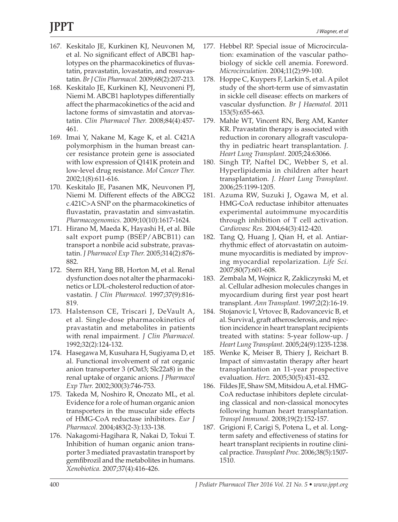- 167. Keskitalo JE, Kurkinen KJ, Neuvonen M, et al. No significant effect of ABCB1 haplotypes on the pharmacokinetics of fluvastatin, pravastatin, lovastatin, and rosuvastatin. *Br J Clin Pharmacol.* 2009;68(2):207-213.
- 168. Keskitalo JE, Kurkinen KJ, Neuvoneni PJ, Niemi M. ABCB1 haplotypes differentially affect the pharmacokinetics of the acid and lactone forms of simvastatin and atorvastatin. *Clin Pharmacol Ther.* 2008;84(4):457- 461.
- 169. Imai Y, Nakane M, Kage K, et al. C421A polymorphism in the human breast cancer resistance protein gene is associated with low expression of Q141K protein and low-level drug resistance. *Mol Cancer Ther.* 2002;1(8):611-616.
- 170. Keskitalo JE, Pasanen MK, Neuvonen PJ, Niemi M. Different effects of the ABCG2 c.421C>A SNP on the pharmacokinetics of fluvastatin, pravastatin and simvastatin. *Pharmacogenomics.* 2009;10(10):1617-1624.
- 171. Hirano M, Maeda K, Hayashi H, et al. Bile salt export pump (BSEP/ABCB11) can transport a nonbile acid substrate, pravastatin. *J Pharmacol Exp Ther.* 2005;314(2):876- 882.
- 172. Stern RH, Yang BB, Horton M, et al. Renal dysfunction does not alter the pharmacokinetics or LDL-cholesterol reduction of atorvastatin. *J Clin Pharmacol.* 1997;37(9):816- 819.
- 173. Halstenson CE, Triscari J, DeVault A, et al. Single-dose pharmacokinetics of pravastatin and metabolites in patients with renal impairment. *J Clin Pharmacol.* 1992;32(2):124-132.
- 174. Hasegawa M, Kusuhara H, Sugiyama D, et al. Functional involvement of rat organic anion transporter 3 (rOat3; Slc22a8) in the renal uptake of organic anions. *J Pharmacol Exp Ther.* 2002;300(3):746-753.
- 175. Takeda M, Noshiro R, Onozato ML, et al. Evidence for a role of human organic anion transporters in the muscular side effects of HMG-CoA reductase inhibitors. *Eur J Pharmacol.* 2004;483(2-3):133-138.
- 176. Nakagomi-Hagihara R, Nakai D, Tokui T. Inhibition of human organic anion transporter 3 mediated pravastatin transport by gemfibrozil and the metabolites in humans. *Xenobiotica.* 2007;37(4):416-426.
- 177. Hebbel RP. Special issue of Microcirculation: examination of the vascular pathobiology of sickle cell anemia. Foreword. *Microcirculation.* 2004;11(2):99-100.
- 178. Hoppe C, Kuypers F, Larkin S, et al. A pilot study of the short-term use of simvastatin in sickle cell disease: effects on markers of vascular dysfunction. *Br J Haematol.* 2011 153(5):655-663.
- 179. Mahle WT, Vincent RN, Berg AM, Kanter KR. Pravastatin therapy is associated with reduction in coronary allograft vasculopathy in pediatric heart transplantation. *J. Heart Lung Transplant.* 2005;24:63066.
- 180. Singh TP, Naftel DC, Webber S, et al. Hyperlipidemia in children after heart transplantation. *J. Heart Lung Transplant.* 2006;25:1199-1205.
- 181. Azuma RW, Suzuki J, Ogawa M, et al. HMG-CoA reductase inhibitor attenuates experimental autoimmune myocarditis through inhibition of T cell activation. *Cardiovasc Res.* 2004;64(3):412-420.
- 182. Tang Q, Huang J, Qian H, et al. Antiarrhythmic effect of atorvastatin on autoimmune myocarditis is mediated by improving myocardial repolarization. *Life Sci.* 2007;80(7):601-608.
- 183. Zembala M, Wojnicz R, Zakliczynski M, et al. Cellular adhesion molecules changes in myocardium during first year post heart transplant. *Ann Transplant.* 1997;2(2):16-19.
- 184. Stojanovic I, Vrtovec B, Radovancevic B, et al. Survival, graft atherosclerosis, and rejection incidence in heart transplant recipients treated with statins: 5-year follow-up. *J Heart Lung Transplant.* 2005;24(9):1235-1238.
- 185. Wenke K, Meiser B, Thiery J, Reichart B. Impact of simvastatin therapy after heart transplantation an 11-year prospective evaluation. *Herz.* 2005;30(5):431-432.
- 186. Fildes JE, Shaw SM, Mitsidou A, et al. HMG-CoA reductase inhibitors deplete circulating classical and non-classical monocytes following human heart transplantation. *Transpl Immunol.* 2008;19(2):152-157.
- 187. Grigioni F, Carigi S, Potena L, et al. Longterm safety and effectiveness of statins for heart transplant recipients in routine clinical practice. *Transplant Proc.* 2006;38(5):1507- 1510.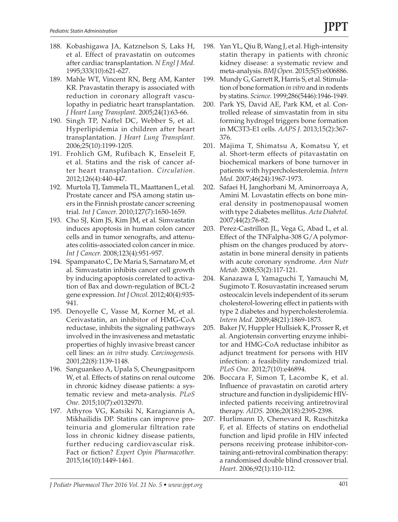- 188. Kobashigawa JA, Katznelson S, Laks H, et al. Effect of pravastatin on outcomes after cardiac transplantation. *N Engl J Med.* 1995;333(10):621-627.
- 189. Mahle WT, Vincent RN, Berg AM, Kanter KR. Pravastatin therapy is associated with reduction in coronary allograft vasculopathy in pediatric heart transplantation. *J Heart Lung Transplant.* 2005;24(1):63-66.
- 190. Singh TP, Naftel DC, Webber S, et al. Hyperlipidemia in children after heart transplantation. *J Heart Lung Transplant.* 2006;25(10):1199-1205.
- 191. Frohlich GM, Rufibach K, Enseleit F, et al. Statins and the risk of cancer after heart transplantation. *Circulation.* 2012;126(4):440-447.
- 192. Murtola TJ, Tammela TL, Maattanen L, et al. Prostate cancer and PSA among statin users in the Finnish prostate cancer screening trial. *Int J Cancer.* 2010;127(7):1650-1659.
- 193. Cho SJ, Kim JS, Kim JM, et al. Simvastatin induces apoptosis in human colon cancer cells and in tumor xenografts, and attenuates colitis-associated colon cancer in mice. *Int J Cancer.* 2008;123(4):951-957.
- 194. Spampanato C, De Maria S, Sarnataro M, et al. Simvastatin inhibits cancer cell growth by inducing apoptosis correlated to activation of Bax and down-regulation of BCL-2 gene expression. *Int J Oncol.* 2012;40(4):935- 941.
- 195. Denoyelle C, Vasse M, Korner M, et al. Cerivastatin, an inhibitor of HMG-CoA reductase, inhibits the signaling pathways involved in the invasiveness and metastatic properties of highly invasive breast cancer cell lines: an *in vitro* study. *Carcinogenesis.* 2001;22(8):1139-1148.
- 196. Sanguankeo A, Upala S, Cheungpasitporn W, et al. Effects of statins on renal outcome in chronic kidney disease patients: a systematic review and meta-analysis. *PLoS One.* 2015;10(7):e0132970.
- 197. Athyros VG, Katsiki N, Karagiannis A, Mikhailidis DP. Statins can improve proteinuria and glomerular filtration rate loss in chronic kidney disease patients, further reducing cardiovascular risk. Fact or fiction? *Expert Opin Pharmacother.* 2015;16(10):1449-1461.
- 198. Yan YL, Qiu B, Wang J, et al. High-intensity statin therapy in patients with chronic kidney disease: a systematic review and meta-analysis. *BMJ Open.* 2015;5(5):e006886.
- 199. Mundy G, Garrett R, Harris S, et al. Stimulation of bone formation *in vitro* and in rodents by statins. *Science.* 1999;286(5446):1946-1949.
- 200. Park YS, David AE, Park KM, et al. Controlled release of simvastatin from in situ forming hydrogel triggers bone formation in MC3T3-E1 cells. *AAPS J.* 2013;15(2):367- 376.
- 201. Majima T, Shimatsu A, Komatsu Y, et al. Short-term effects of pitavastatin on biochemical markers of bone turnover in patients with hypercholesterolemia. *Intern Med.* 2007;46(24):1967-1973.
- 202. Safaei H, Janghorbani M, Aminorroaya A, Amini M. Lovastatin effects on bone mineral density in postmenopausal women with type 2 diabetes mellitus. *Acta Diabetol.* 2007;44(2):76-82.
- 203. Perez-Castrillon JL, Vega G, Abad L, et al. Effect of the TNFalpha-308 G/A polymorphism on the changes produced by atorvastatin in bone mineral density in patients with acute coronary syndrome. *Ann Nutr Metab.* 2008;53(2):117-121.
- 204. Kanazawa I, Yamaguchi T, Yamauchi M, Sugimoto T. Rosuvastatin increased serum osteocalcin levels independent of its serum cholesterol-lowering effect in patients with type 2 diabetes and hypercholesterolemia. *Intern Med.* 2009;48(21):1869-1873.
- 205. Baker JV, Huppler Hullsiek K, Prosser R, et al. Angiotensin converting enzyme inhibitor and HMG-CoA reductase inhibitor as adjunct treatment for persons with HIV infection: a feasibility randomized trial. *PLoS One.* 2012;7(10):e46894.
- 206. Boccara F, Simon T, Lacombe K, et al. Influence of pravastatin on carotid artery structure and function in dyslipidemic HIVinfected patients receiving antiretroviral therapy. *AIDS.* 2006;20(18):2395-2398.
- 207. Hurlimann D, Chenevard R, Ruschitzka F, et al. Effects of statins on endothelial function and lipid profile in HIV infected persons receiving protease inhibitor-containing anti-retroviral combination therapy: a randomised double blind crossover trial. *Heart.* 2006;92(1):110-112.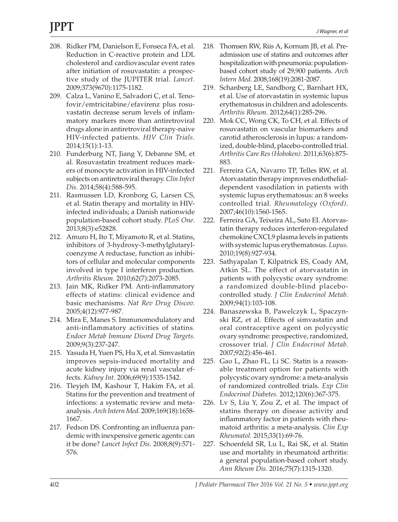- 208. Ridker PM, Danielson E, Fonseca FA, et al. Reduction in C-reactive protein and LDL cholesterol and cardiovascular event rates after initiation of rosuvastatin: a prospective study of the JUPITER trial. *Lancet.* 2009;373(9670):1175-1182.
- 209. Calza L, Vanino E, Salvadori C, et al. Tenofovir/emtricitabine/efavirenz plus rosuvastatin decrease serum levels of inflammatory markers more than antiretroviral drugs alone in antiretroviral therapy-naive HIV-infected patients. *HIV Clin Trials.* 2014;15(1):1-13.
- 210. Funderburg NT, Jiang Y, Debanne SM, et al. Rosuvastatin treatment reduces markers of monocyte activation in HIV-infected subjects on antiretroviral therapy. *Clin Infect Dis.* 2014;58(4):588-595.
- 211. Rasmussen LD, Kronborg G, Larsen CS, et al. Statin therapy and mortality in HIVinfected individuals; a Danish nationwide population-based cohort study. *PLoS One.* 2013;8(3):e52828.
- 212. Amuro H, Ito T, Miyamoto R, et al. Statins, inhibitors of 3-hydroxy-3-methylglutarylcoenzyme A reductase, function as inhibitors of cellular and molecular components involved in type I interferon production. *Arthritis Rheum.* 2010;62(7):2073-2085.
- 213. Jain MK, Ridker PM. Anti-inflammatory effects of statins: clinical evidence and basic mechanisms. *Nat Rev Drug Discov.* 2005;4(12):977-987.
- 214. Mira E, Manes S. Immunomodulatory and anti-inflammatory activities of statins. *Endocr Metab Immune Disord Drug Targets.* 2009;9(3):237-247.
- 215. Yasuda H, Yuen PS, Hu X, et al. Simvastatin improves sepsis-induced mortality and acute kidney injury via renal vascular effects. *Kidney Int.* 2006;69(9):1535-1542.
- 216. Tleyjeh IM, Kashour T, Hakim FA, et al. Statins for the prevention and treatment of infections: a systematic review and metaanalysis. *Arch Intern Med.* 2009;169(18):1658- 1667.
- 217. Fedson DS. Confronting an influenza pandemic with inexpensive generic agents: can it be done? *Lancet Infect Dis.* 2008;8(9):571- 576.
- 218. Thomsen RW, Riis A, Kornum JB, et al. Preadmission use of statins and outcomes after hospitalization with pneumonia: populationbased cohort study of 29,900 patients. *Arch Intern Med.* 2008;168(19):2081-2087.
- 219. Schanberg LE, Sandborg C, Barnhart HX, et al. Use of atorvastatin in systemic lupus erythematosus in children and adolescents. *Arthritis Rheum.* 2012;64(1):285-296.
- 220. Mok CC, Wong CK, To CH, et al. Effects of rosuvastatin on vascular biomarkers and carotid atherosclerosis in lupus: a randomized, double-blind, placebo-controlled trial. *Arthritis Care Res (Hoboken).* 2011;63(6):875- 883.
- 221. Ferreira GA, Navarro TP, Telles RW, et al. Atorvastatin therapy improves endothelialdependent vasodilation in patients with systemic lupus erythematosus: an 8 weeks controlled trial. *Rheumatology (Oxford).* 2007;46(10):1560-1565.
- 222. Ferreira GA, Teixeira AL, Sato EI. Atorvastatin therapy reduces interferon-regulated chemokine CXCL9 plasma levels in patients with systemic lupus erythematosus. *Lupus.* 2010;19(8):927-934.
- 223. Sathyapalan T, Kilpatrick ES, Coady AM, Atkin SL. The effect of atorvastatin in patients with polycystic ovary syndrome: a randomized double-blind placebocontrolled study. *J Clin Endocrinol Metab.* 2009;94(1):103-108.
- 224. Banaszewska B, Pawelczyk L, Spaczynski RZ, et al. Effects of simvastatin and oral contraceptive agent on polycystic ovary syndrome: prospective, randomized, crossover trial. *J Clin Endocrinol Metab.* 2007;92(2):456-461.
- 225. Gao L, Zhao FL, Li SC. Statin is a reasonable treatment option for patients with polycystic ovary syndrome: a meta-analysis of randomized controlled trials. *Exp Clin Endocrinol Diabetes.* 2012;120(6):367-375.
- 226. Lv S, Liu Y, Zou Z, et al. The impact of statins therapy on disease activity and inflammatory factor in patients with rheumatoid arthritis: a meta-analysis. *Clin Exp Rheumatol.* 2015;33(1):69-76.
- 227. Schoenfeld SR, Lu L, Rai SK, et al. Statin use and mortality in rheumatoid arthritis: a general population-based cohort study. *Ann Rheum Dis.* 2016;75(7):1315-1320.